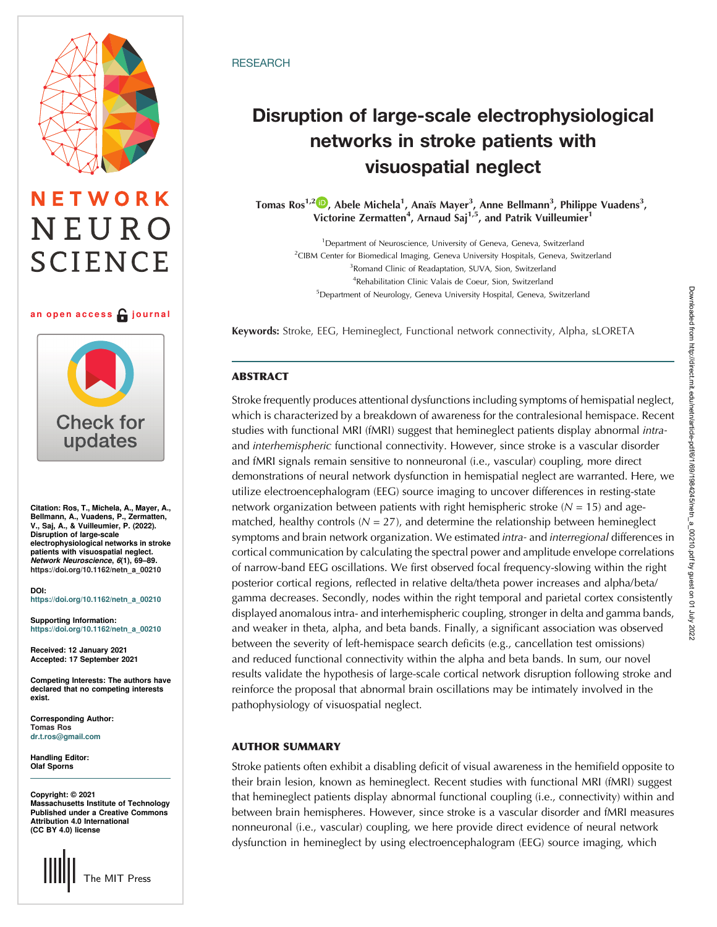# ETWORK NEURO **SCIENCE**

### an open access  $\bigcap$  journal



Citation: Ros, T., Michela, A., Mayer, A., Bellmann, A., Vuadens, P., Zermatten, V., Saj, A., & Vuilleumier, P. (2022). Disruption of large-scale electrophysiological networks in stroke patients with visuospatial neglect. Network Neuroscience, 6(1), 69–89. [https://doi.org/10.1162/netn\\_a\\_00210](https://doi.org/10.1162/netn_a_00210)

DOI: [https://doi.org/10.1162/netn\\_a\\_00210](https://doi.org/10.1162/netn_a_00210)

Supporting Information: [https://doi.org/10.1162/netn\\_a\\_00210](https://doi.org/10.1162/netn_a_00210)

Received: 12 January 2021 Accepted: 17 September 2021

Competing Interests: The authors have declared that no competing interests exist.

Corresponding Author: Tomas Ros [dr.t.ros@gmail.com](mailto:dr.t.ros@gmail.com)

Handling Editor: Olaf Sporns

Copyright: © 2021 Massachusetts Institute of Technology Published under a Creative Commons Attribution 4.0 International (CC BY 4.0) license



# **RESEARCH**

# Disruption of large-scale electrophysiological visuospatial neglect visuospatial neglect

Tomas Ros<sup>1,2</sup> D, Abele Michela<sup>1</sup>, Anaïs Mayer<sup>3</sup>, Anne Bellmann<sup>3</sup>, Philippe Vuadens<sup>3</sup>, Victorine Zermatten<sup>4</sup>, Arnaud Saj<sup>1,5</sup>, and Patrik Vuilleumier<sup>1</sup>

<sup>1</sup>Department of Neuroscience, University of Geneva, Geneva, Switzerland <sup>2</sup>CIBM Center for Biomedical Imaging, Geneva University Hospitals, Geneva, Switzerland <sup>3</sup> Romand Clinic of Readaptation, SUVA, Sion, Switzerland 4 Rehabilitation Clinic Valais de Coeur, Sion, Switzerland <sup>5</sup>Department of Neurology, Geneva University Hospital, Geneva, Switzerland

Keywords: Stroke, EEG, Hemineglect, Functional network connectivity, Alpha, sLORETA

# ABSTRACT

Stroke frequently produces attentional dysfunctions including symptoms of hemispatial neglect, which is characterized by a breakdown of awareness for the contralesional hemispace. Recent studies with functional MRI (fMRI) suggest that hemineglect patients display abnormal intraand interhemispheric functional connectivity. However, since stroke is a vascular disorder and fMRI signals remain sensitive to nonneuronal (i.e., vascular) coupling, more direct demonstrations of neural network dysfunction in hemispatial neglect are warranted. Here, we utilize electroencephalogram (EEG) source imaging to uncover differences in resting-state network organization between patients with right hemispheric stroke  $(N = 15)$  and agematched, healthy controls ( $N = 27$ ), and determine the relationship between hemineglect symptoms and brain network organization. We estimated *intra-* and *interregional* differences in cortical communication by calculating the spectral power and amplitude envelope correlations of narrow-band EEG oscillations. We first observed focal frequency-slowing within the right posterior cortical regions, reflected in relative delta/theta power increases and alpha/beta/ gamma decreases. Secondly, nodes within the right temporal and parietal cortex consistently displayed anomalous intra- and interhemispheric coupling, stronger in delta and gamma bands, and weaker in theta, alpha, and beta bands. Finally, a significant association was observed between the severity of left-hemispace search deficits (e.g., cancellation test omissions) and reduced functional connectivity within the alpha and beta bands. In sum, our novel results validate the hypothesis of large-scale cortical network disruption following stroke and reinforce the proposal that abnormal brain oscillations may be intimately involved in the pathophysiology of visuospatial neglect.

# AUTHOR SUMMARY

Stroke patients often exhibit a disabling deficit of visual awareness in the hemifield opposite to their brain lesion, known as hemineglect. Recent studies with functional MRI (fMRI) suggest that hemineglect patients display abnormal functional coupling (i.e., connectivity) within and between brain hemispheres. However, since stroke is a vascular disorder and fMRI measures nonneuronal (i.e., vascular) coupling, we here provide direct evidence of neural network dysfunction in hemineglect by using electroencephalogram (EEG) source imaging, which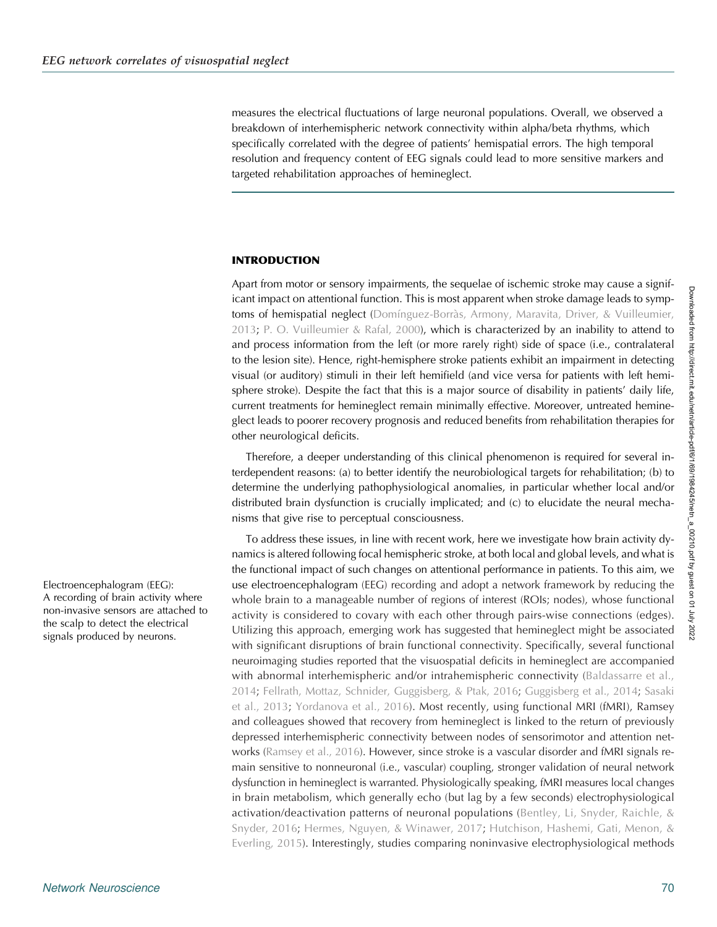measures the electrical fluctuations of large neuronal populations. Overall, we observed a breakdown of interhemispheric network connectivity within alpha/beta rhythms, which specifically correlated with the degree of patients' hemispatial errors. The high temporal resolution and frequency content of EEG signals could lead to more sensitive markers and targeted rehabilitation approaches of hemineglect.

# INTRODUCTION

Apart from motor or sensory impairments, the sequelae of ischemic stroke may cause a significant impact on attentional function. This is most apparent when stroke damage leads to symp-toms of hemispatial neglect ([Domínguez-Borràs, Armony, Maravita, Driver, & Vuilleumier,](#page-17-0) [2013](#page-17-0); [P. O. Vuilleumier & Rafal, 2000](#page-19-0)), which is characterized by an inability to attend to and process information from the left (or more rarely right) side of space (i.e., contralateral to the lesion site). Hence, right-hemisphere stroke patients exhibit an impairment in detecting visual (or auditory) stimuli in their left hemifield (and vice versa for patients with left hemisphere stroke). Despite the fact that this is a major source of disability in patients' daily life, current treatments for hemineglect remain minimally effective. Moreover, untreated hemineglect leads to poorer recovery prognosis and reduced benefits from rehabilitation therapies for other neurological deficits.

Therefore, a deeper understanding of this clinical phenomenon is required for several interdependent reasons: (a) to better identify the neurobiological targets for rehabilitation; (b) to determine the underlying pathophysiological anomalies, in particular whether local and/or distributed brain dysfunction is crucially implicated; and (c) to elucidate the neural mechanisms that give rise to perceptual consciousness.

To address these issues, in line with recent work, here we investigate how brain activity dynamics is altered following focal hemispheric stroke, at both local and global levels, and what is the functional impact of such changes on attentional performance in patients. To this aim, we use electroencephalogram (EEG) recording and adopt a network framework by reducing the whole brain to a manageable number of regions of interest (ROIs; nodes), whose functional activity is considered to covary with each other through pairs-wise connections (edges). Utilizing this approach, emerging work has suggested that hemineglect might be associated with significant disruptions of brain functional connectivity. Specifically, several functional neuroimaging studies reported that the visuospatial deficits in hemineglect are accompanied with abnormal interhemispheric and/or intrahemispheric connectivity [\(Baldassarre et al.,](#page-16-0) [2014](#page-16-0); [Fellrath, Mottaz, Schnider, Guggisberg, & Ptak, 2016;](#page-17-0) [Guggisberg et al., 2014;](#page-17-0) [Sasaki](#page-19-0) [et al., 2013;](#page-19-0) [Yordanova et al., 2016\)](#page-20-0). Most recently, using functional MRI (fMRI), Ramsey and colleagues showed that recovery from hemineglect is linked to the return of previously depressed interhemispheric connectivity between nodes of sensorimotor and attention networks [\(Ramsey et al., 2016](#page-18-0)). However, since stroke is a vascular disorder and fMRI signals remain sensitive to nonneuronal (i.e., vascular) coupling, stronger validation of neural network dysfunction in hemineglect is warranted. Physiologically speaking, fMRI measures local changes in brain metabolism, which generally echo (but lag by a few seconds) electrophysiological activation/deactivation patterns of neuronal populations [\(Bentley, Li, Snyder, Raichle, &](#page-16-0) [Snyder, 2016](#page-16-0); [Hermes, Nguyen, & Winawer, 2017](#page-17-0); [Hutchison, Hashemi, Gati, Menon, &](#page-17-0) [Everling, 2015](#page-17-0)). Interestingly, studies comparing noninvasive electrophysiological methods

Electroencephalogram (EEG): A recording of brain activity where non-invasive sensors are attached to the scalp to detect the electrical signals produced by neurons.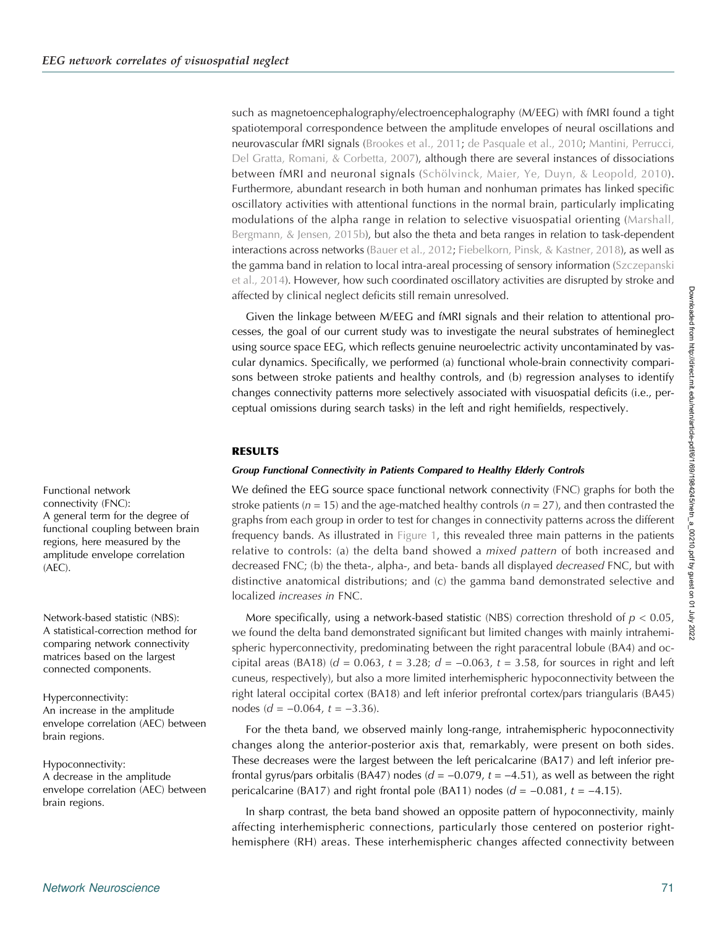such as magnetoencephalography/electroencephalography (M/EEG) with fMRI found a tight spatiotemporal correspondence between the amplitude envelopes of neural oscillations and neurovascular fMRI signals ([Brookes et al., 2011](#page-16-0); [de Pasquale et al., 2010;](#page-16-0) [Mantini, Perrucci,](#page-18-0) [Del Gratta, Romani, & Corbetta, 2007\)](#page-18-0), although there are several instances of dissociations between fMRI and neuronal signals ([Schölvinck, Maier, Ye, Duyn, & Leopold, 2010](#page-19-0)). Furthermore, abundant research in both human and nonhuman primates has linked specific oscillatory activities with attentional functions in the normal brain, particularly implicating modulations of the alpha range in relation to selective visuospatial orienting ([Marshall,](#page-18-0) [Bergmann, & Jensen, 2015b\)](#page-18-0), but also the theta and beta ranges in relation to task-dependent interactions across networks ([Bauer et al., 2012;](#page-16-0) [Fiebelkorn, Pinsk, & Kastner, 2018](#page-17-0)), as well as the gamma band in relation to local intra-areal processing of sensory information [\(Szczepanski](#page-19-0) [et al., 2014](#page-19-0)). However, how such coordinated oscillatory activities are disrupted by stroke and affected by clinical neglect deficits still remain unresolved.

Given the linkage between M/EEG and fMRI signals and their relation to attentional processes, the goal of our current study was to investigate the neural substrates of hemineglect using source space EEG, which reflects genuine neuroelectric activity uncontaminated by vascular dynamics. Specifically, we performed (a) functional whole-brain connectivity comparisons between stroke patients and healthy controls, and (b) regression analyses to identify changes connectivity patterns more selectively associated with visuospatial deficits (i.e., perceptual omissions during search tasks) in the left and right hemifields, respectively.

# RESULTS

# Group Functional Connectivity in Patients Compared to Healthy Elderly Controls

We defined the EEG source space functional network connectivity (FNC) graphs for both the stroke patients ( $n = 15$ ) and the age-matched healthy controls ( $n = 27$ ), and then contrasted the graphs from each group in order to test for changes in connectivity patterns across the different frequency bands. As illustrated in [Figure 1](#page-3-0), this revealed three main patterns in the patients relative to controls: (a) the delta band showed a mixed pattern of both increased and decreased FNC; (b) the theta-, alpha-, and beta- bands all displayed *decreased* FNC, but with distinctive anatomical distributions; and (c) the gamma band demonstrated selective and localized increases in FNC.

More specifically, using a network-based statistic (NBS) correction threshold of  $p < 0.05$ , we found the delta band demonstrated significant but limited changes with mainly intrahemispheric hyperconnectivity, predominating between the right paracentral lobule (BA4) and occipital areas (BA18) ( $d = 0.063$ ,  $t = 3.28$ ;  $d = -0.063$ ,  $t = 3.58$ , for sources in right and left cuneus, respectively), but also a more limited interhemispheric hypoconnectivity between the right lateral occipital cortex (BA18) and left inferior prefrontal cortex/pars triangularis (BA45) nodes ( $d = -0.064$ ,  $t = -3.36$ ).

For the theta band, we observed mainly long-range, intrahemispheric hypoconnectivity changes along the anterior-posterior axis that, remarkably, were present on both sides. These decreases were the largest between the left pericalcarine (BA17) and left inferior prefrontal gyrus/pars orbitalis (BA47) nodes ( $d = -0.079$ ,  $t = -4.51$ ), as well as between the right pericalcarine (BA17) and right frontal pole (BA11) nodes ( $d = -0.081$ ,  $t = -4.15$ ).

In sharp contrast, the beta band showed an opposite pattern of hypoconnectivity, mainly affecting interhemispheric connections, particularly those centered on posterior righthemisphere (RH) areas. These interhemispheric changes affected connectivity between

Functional network connectivity (FNC): A general term for the degree of functional coupling between brain regions, here measured by the amplitude envelope correlation (AEC).

Network-based statistic (NBS): A statistical-correction method for comparing network connectivity matrices based on the largest connected components.

Hyperconnectivity: An increase in the amplitude envelope correlation (AEC) between brain regions.

Hypoconnectivity: A decrease in the amplitude envelope correlation (AEC) between brain regions.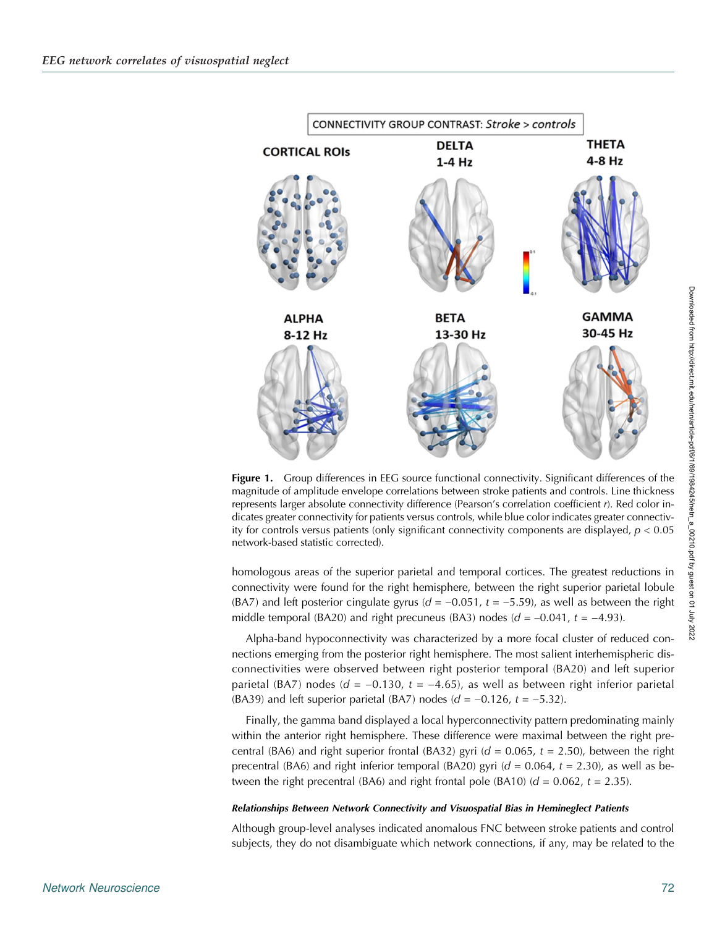<span id="page-3-0"></span>

**Figure 1.** Group differences in EEG source functional connectivity. Significant differences of the magnitude of amplitude envelope correlations between stroke patients and controls. Line thickness represents larger absolute connectivity difference (Pearson's correlation coefficient r). Red color indicates greater connectivity for patients versus controls, while blue color indicates greater connectivity for controls versus patients (only significant connectivity components are displayed,  $p < 0.05$ network-based statistic corrected).

homologous areas of the superior parietal and temporal cortices. The greatest reductions in connectivity were found for the right hemisphere, between the right superior parietal lobule (BA7) and left posterior cingulate gyrus ( $d = -0.051$ ,  $t = -5.59$ ), as well as between the right middle temporal (BA20) and right precuneus (BA3) nodes ( $d = -0.041$ ,  $t = -4.93$ ).

Alpha-band hypoconnectivity was characterized by a more focal cluster of reduced connections emerging from the posterior right hemisphere. The most salient interhemispheric disconnectivities were observed between right posterior temporal (BA20) and left superior parietal (BA7) nodes ( $d = -0.130$ ,  $t = -4.65$ ), as well as between right inferior parietal (BA39) and left superior parietal (BA7) nodes ( $d = -0.126$ ,  $t = -5.32$ ).

Finally, the gamma band displayed a local hyperconnectivity pattern predominating mainly within the anterior right hemisphere. These difference were maximal between the right precentral (BA6) and right superior frontal (BA32) gyri ( $d = 0.065$ ,  $t = 2.50$ ), between the right precentral (BA6) and right inferior temporal (BA20) gyri ( $d = 0.064$ ,  $t = 2.30$ ), as well as between the right precentral (BA6) and right frontal pole (BA10) ( $d = 0.062$ ,  $t = 2.35$ ).

#### Relationships Between Network Connectivity and Visuospatial Bias in Hemineglect Patients

Although group-level analyses indicated anomalous FNC between stroke patients and control subjects, they do not disambiguate which network connections, if any, may be related to the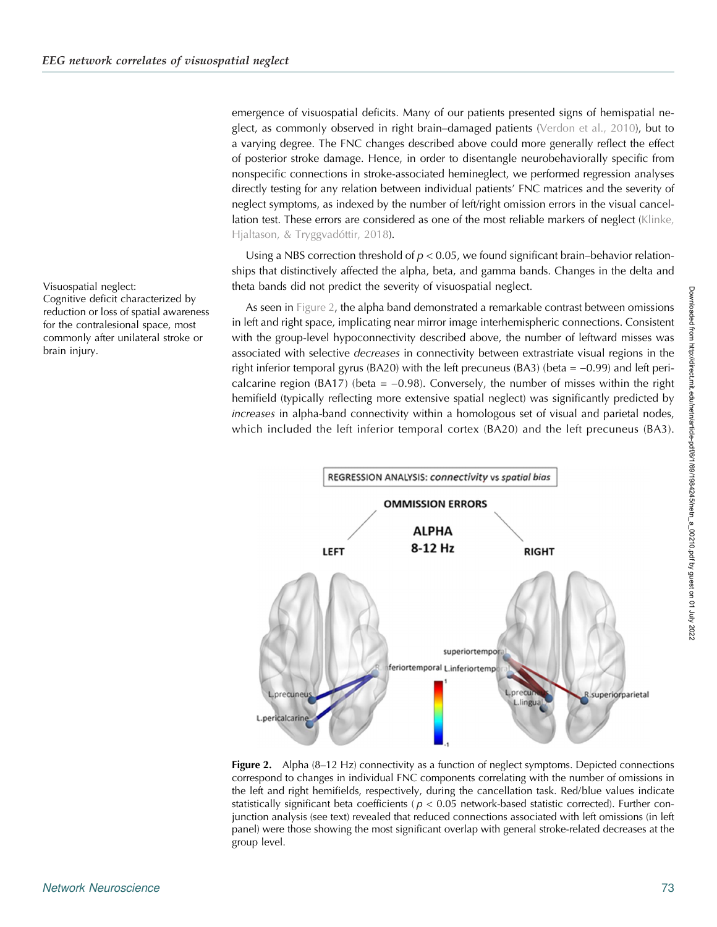<span id="page-4-0"></span>emergence of visuospatial deficits. Many of our patients presented signs of hemispatial neglect, as commonly observed in right brain–damaged patients [\(Verdon et al., 2010\)](#page-19-0), but to a varying degree. The FNC changes described above could more generally reflect the effect of posterior stroke damage. Hence, in order to disentangle neurobehaviorally specific from nonspecific connections in stroke-associated hemineglect, we performed regression analyses directly testing for any relation between individual patients' FNC matrices and the severity of neglect symptoms, as indexed by the number of left/right omission errors in the visual cancellation test. These errors are considered as one of the most reliable markers of neglect ([Klinke,](#page-18-0) [Hjaltason, & Tryggvadóttir, 2018](#page-18-0)).

Using a NBS correction threshold of  $p < 0.05$ , we found significant brain–behavior relationships that distinctively affected the alpha, beta, and gamma bands. Changes in the delta and theta bands did not predict the severity of visuospatial neglect.

As seen in Figure 2, the alpha band demonstrated a remarkable contrast between omissions in left and right space, implicating near mirror image interhemispheric connections. Consistent with the group-level hypoconnectivity described above, the number of leftward misses was associated with selective decreases in connectivity between extrastriate visual regions in the right inferior temporal gyrus (BA20) with the left precuneus (BA3) (beta =  $-0.99$ ) and left pericalcarine region (BA17) (beta =  $-0.98$ ). Conversely, the number of misses within the right hemifield (typically reflecting more extensive spatial neglect) was significantly predicted by increases in alpha-band connectivity within a homologous set of visual and parietal nodes, which included the left inferior temporal cortex (BA20) and the left precuneus (BA3).



Figure 2. Alpha (8-12 Hz) connectivity as a function of neglect symptoms. Depicted connections correspond to changes in individual FNC components correlating with the number of omissions in the left and right hemifields, respectively, during the cancellation task. Red/blue values indicate statistically significant beta coefficients ( $p < 0.05$  network-based statistic corrected). Further conjunction analysis (see text) revealed that reduced connections associated with left omissions (in left panel) were those showing the most significant overlap with general stroke-related decreases at the group level.

#### Visuospatial neglect:

Cognitive deficit characterized by reduction or loss of spatial awareness for the contralesional space, most commonly after unilateral stroke or brain injury.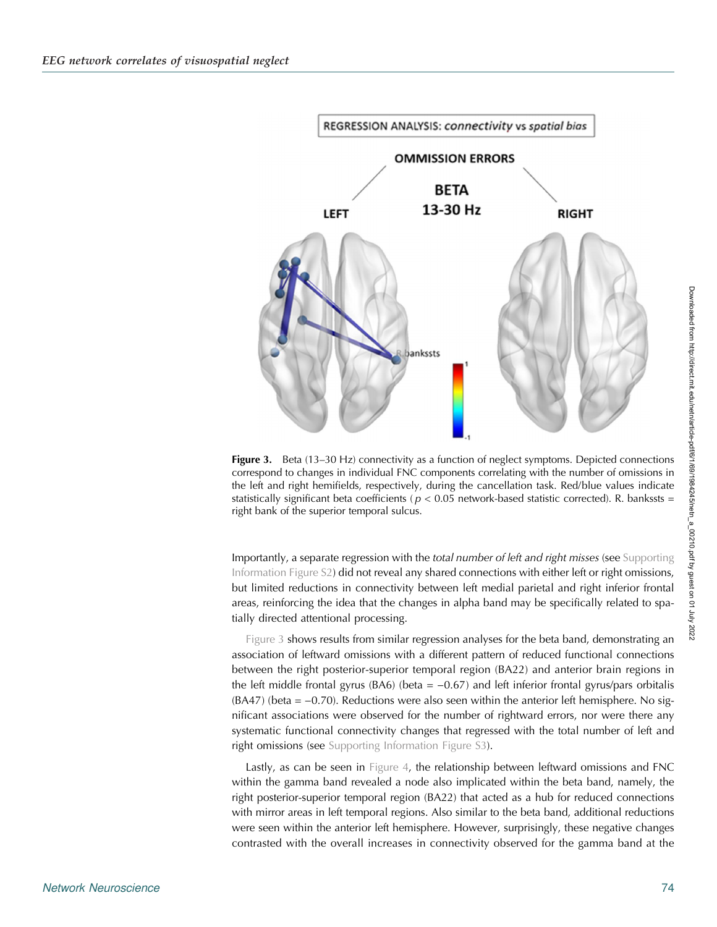<span id="page-5-0"></span>

**Figure 3.** Beta (13–30 Hz) connectivity as a function of neglect symptoms. Depicted connections correspond to changes in individual FNC components correlating with the number of omissions in the left and right hemifields, respectively, during the cancellation task. Red/blue values indicate statistically significant beta coefficients ( $p < 0.05$  network-based statistic corrected). R. bankssts = right bank of the superior temporal sulcus.

Importantly, a separate regression with the total number of left and right misses (see [Supporting](#page-15-0) [Information Figure S2](#page-15-0)) did not reveal any shared connections with either left or right omissions, but limited reductions in connectivity between left medial parietal and right inferior frontal areas, reinforcing the idea that the changes in alpha band may be specifically related to spatially directed attentional processing.

Figure 3 shows results from similar regression analyses for the beta band, demonstrating an association of leftward omissions with a different pattern of reduced functional connections between the right posterior-superior temporal region (BA22) and anterior brain regions in the left middle frontal gyrus (BA6) (beta =  $-0.67$ ) and left inferior frontal gyrus/pars orbitalis (BA47) (beta = −0.70). Reductions were also seen within the anterior left hemisphere. No significant associations were observed for the number of rightward errors, nor were there any systematic functional connectivity changes that regressed with the total number of left and right omissions (see [Supporting Information Figure S3\)](#page-15-0).

Lastly, as can be seen in [Figure 4](#page-6-0), the relationship between leftward omissions and FNC within the gamma band revealed a node also implicated within the beta band, namely, the right posterior-superior temporal region (BA22) that acted as a hub for reduced connections with mirror areas in left temporal regions. Also similar to the beta band, additional reductions were seen within the anterior left hemisphere. However, surprisingly, these negative changes contrasted with the overall increases in connectivity observed for the gamma band at the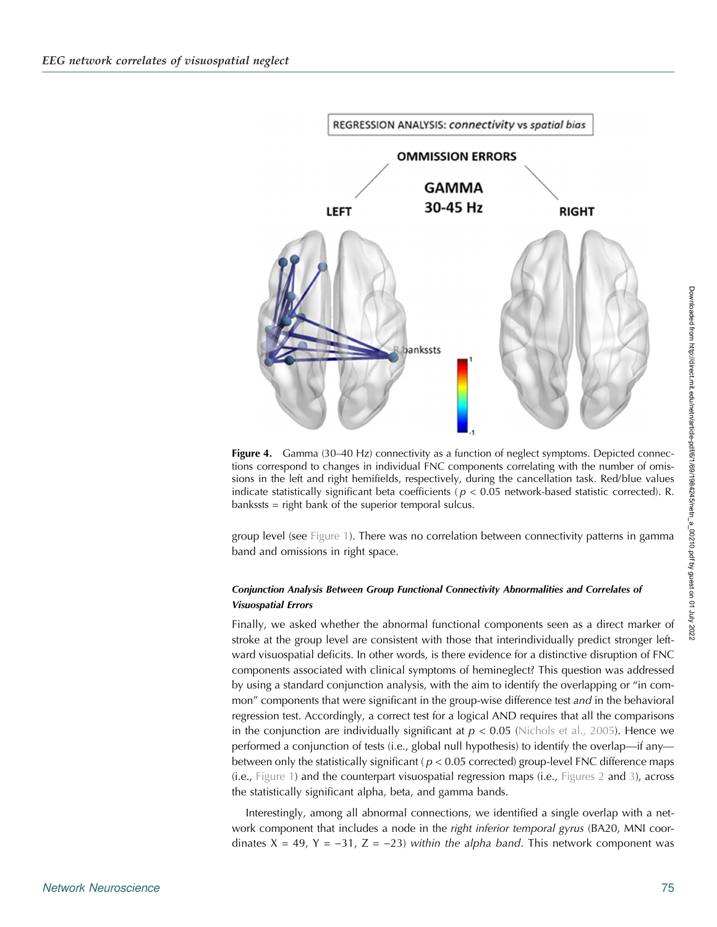<span id="page-6-0"></span>

**Figure 4.** Gamma (30–40 Hz) connectivity as a function of neglect symptoms. Depicted connections correspond to changes in individual FNC components correlating with the number of omissions in the left and right hemifields, respectively, during the cancellation task. Red/blue values indicate statistically significant beta coefficients ( $p < 0.05$  network-based statistic corrected). R. bankssts = right bank of the superior temporal sulcus.

group level (see [Figure 1](#page-3-0)). There was no correlation between connectivity patterns in gamma band and omissions in right space.

# Conjunction Analysis Between Group Functional Connectivity Abnormalities and Correlates of Visuospatial Errors

Finally, we asked whether the abnormal functional components seen as a direct marker of stroke at the group level are consistent with those that interindividually predict stronger leftward visuospatial deficits. In other words, is there evidence for a distinctive disruption of FNC components associated with clinical symptoms of hemineglect? This question was addressed by using a standard conjunction analysis, with the aim to identify the overlapping or "in common" components that were significant in the group-wise difference test and in the behavioral regression test. Accordingly, a correct test for a logical AND requires that all the comparisons in the conjunction are individually significant at  $p < 0.05$  ([Nichols et al., 2005](#page-18-0)). Hence we performed a conjunction of tests (i.e., global null hypothesis) to identify the overlap—if any between only the statistically significant ( $p < 0.05$  corrected) group-level FNC difference maps (i.e., [Figure 1\)](#page-3-0) and the counterpart visuospatial regression maps (i.e., [Figures 2](#page-4-0) and [3\)](#page-5-0), across the statistically significant alpha, beta, and gamma bands.

Interestingly, among all abnormal connections, we identified a single overlap with a network component that includes a node in the *right inferior temporal gyrus* (BA20, MNI coordinates  $X = 49$ ,  $Y = -31$ ,  $Z = -23$ ) within the alpha band. This network component was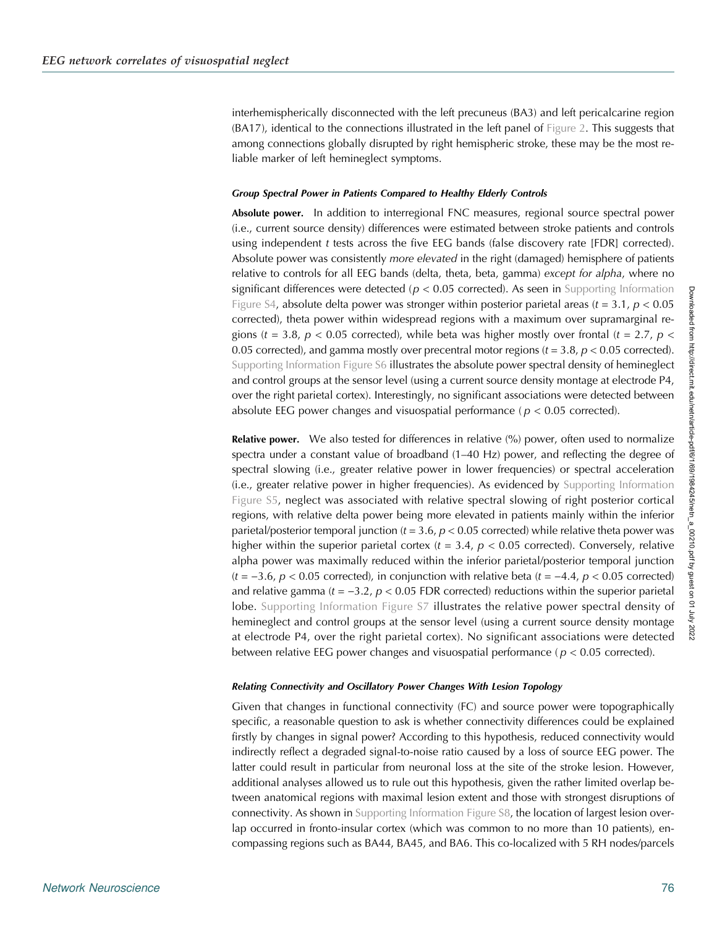interhemispherically disconnected with the left precuneus (BA3) and left pericalcarine region (BA17), identical to the connections illustrated in the left panel of [Figure 2](#page-4-0). This suggests that among connections globally disrupted by right hemispheric stroke, these may be the most reliable marker of left hemineglect symptoms.

#### Group Spectral Power in Patients Compared to Healthy Elderly Controls

Absolute power. In addition to interregional FNC measures, regional source spectral power (i.e., current source density) differences were estimated between stroke patients and controls using independent  $t$  tests across the five EEG bands (false discovery rate [FDR] corrected). Absolute power was consistently more elevated in the right (damaged) hemisphere of patients relative to controls for all EEG bands (delta, theta, beta, gamma) except for alpha, where no significant differences were detected ( $p < 0.05$  corrected). As seen in [Supporting Information](#page-15-0) [Figure S4,](#page-15-0) absolute delta power was stronger within posterior parietal areas ( $t = 3.1$ ,  $p < 0.05$ ) corrected), theta power within widespread regions with a maximum over supramarginal regions (t = 3.8,  $p < 0.05$  corrected), while beta was higher mostly over frontal (t = 2.7,  $p <$ 0.05 corrected), and gamma mostly over precentral motor regions ( $t = 3.8$ ,  $p < 0.05$  corrected). [Supporting Information Figure S6](#page-15-0) illustrates the absolute power spectral density of hemineglect and control groups at the sensor level (using a current source density montage at electrode P4, over the right parietal cortex). Interestingly, no significant associations were detected between absolute EEG power changes and visuospatial performance ( $p < 0.05$  corrected).

**Relative power.** We also tested for differences in relative (%) power, often used to normalize spectra under a constant value of broadband (1–40 Hz) power, and reflecting the degree of spectral slowing (i.e., greater relative power in lower frequencies) or spectral acceleration (i.e., greater relative power in higher frequencies). As evidenced by [Supporting Information](#page-15-0) [Figure S5,](#page-15-0) neglect was associated with relative spectral slowing of right posterior cortical regions, with relative delta power being more elevated in patients mainly within the inferior parietal/posterior temporal junction ( $t = 3.6$ ,  $p < 0.05$  corrected) while relative theta power was higher within the superior parietal cortex ( $t = 3.4$ ,  $p < 0.05$  corrected). Conversely, relative alpha power was maximally reduced within the inferior parietal/posterior temporal junction  $(t = -3.6, p < 0.05$  corrected), in conjunction with relative beta  $(t = -4.4, p < 0.05$  corrected) and relative gamma ( $t = -3.2$ ,  $p < 0.05$  FDR corrected) reductions within the superior parietal lobe. [Supporting Information Figure S7](#page-15-0) illustrates the relative power spectral density of hemineglect and control groups at the sensor level (using a current source density montage at electrode P4, over the right parietal cortex). No significant associations were detected between relative EEG power changes and visuospatial performance ( $p < 0.05$  corrected).

#### Relating Connectivity and Oscillatory Power Changes With Lesion Topology

Given that changes in functional connectivity (FC) and source power were topographically specific, a reasonable question to ask is whether connectivity differences could be explained firstly by changes in signal power? According to this hypothesis, reduced connectivity would indirectly reflect a degraded signal-to-noise ratio caused by a loss of source EEG power. The latter could result in particular from neuronal loss at the site of the stroke lesion. However, additional analyses allowed us to rule out this hypothesis, given the rather limited overlap between anatomical regions with maximal lesion extent and those with strongest disruptions of connectivity. As shown in [Supporting Information Figure S8,](#page-15-0) the location of largest lesion overlap occurred in fronto-insular cortex (which was common to no more than 10 patients), encompassing regions such as BA44, BA45, and BA6. This co-localized with 5 RH nodes/parcels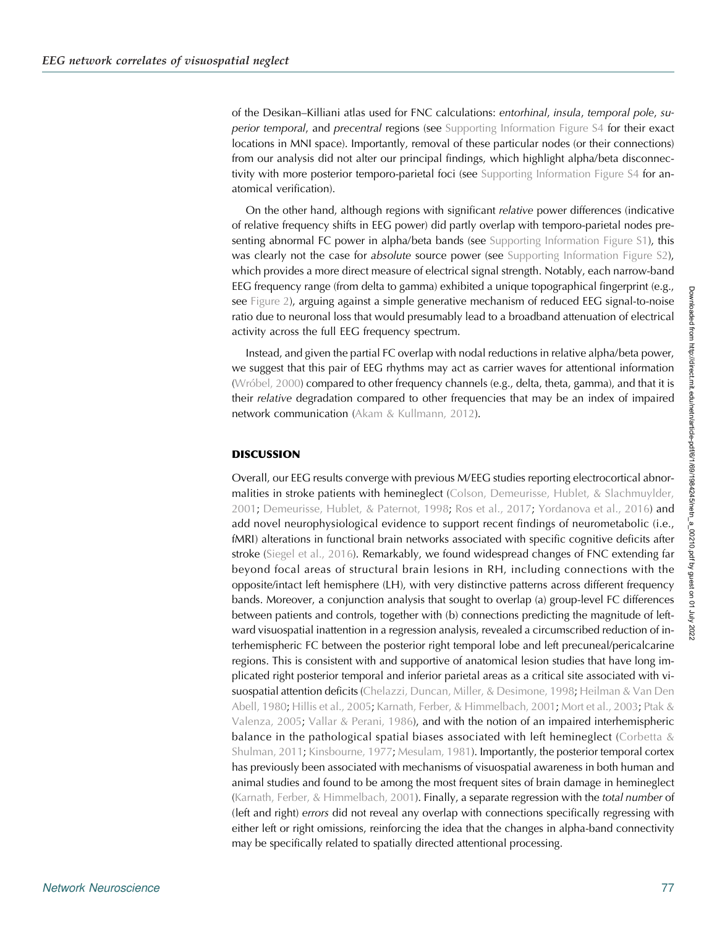of the Desikan–Killiani atlas used for FNC calculations: entorhinal, insula, temporal pole, su-perior temporal, and precentral regions (see [Supporting Information Figure S4](#page-15-0) for their exact locations in MNI space). Importantly, removal of these particular nodes (or their connections) from our analysis did not alter our principal findings, which highlight alpha/beta disconnec-tivity with more posterior temporo-parietal foci (see [Supporting Information Figure S4](#page-15-0) for anatomical verification).

On the other hand, although regions with significant relative power differences (indicative of relative frequency shifts in EEG power) did partly overlap with temporo-parietal nodes pre-senting abnormal FC power in alpha/beta bands (see [Supporting Information Figure S1\)](#page-15-0), this was clearly not the case for absolute source power (see [Supporting Information Figure S2\)](#page-15-0), which provides a more direct measure of electrical signal strength. Notably, each narrow-band EEG frequency range (from delta to gamma) exhibited a unique topographical fingerprint (e.g., see [Figure 2](#page-4-0)), arguing against a simple generative mechanism of reduced EEG signal-to-noise ratio due to neuronal loss that would presumably lead to a broadband attenuation of electrical activity across the full EEG frequency spectrum.

Instead, and given the partial FC overlap with nodal reductions in relative alpha/beta power, we suggest that this pair of EEG rhythms may act as carrier waves for attentional information ([Wróbel, 2000\)](#page-20-0) compared to other frequency channels (e.g., delta, theta, gamma), and that it is their relative degradation compared to other frequencies that may be an index of impaired network communication [\(Akam & Kullmann, 2012\)](#page-16-0).

# DISCUSSION

Overall, our EEG results converge with previous M/EEG studies reporting electrocortical abnor-malities in stroke patients with hemineglect [\(Colson, Demeurisse, Hublet, & Slachmuylder,](#page-16-0) [2001](#page-16-0); [Demeurisse, Hublet, & Paternot, 1998](#page-17-0); [Ros et al., 2017](#page-18-0); [Yordanova et al., 2016](#page-20-0)) and add novel neurophysiological evidence to support recent findings of neurometabolic (i.e., fMRI) alterations in functional brain networks associated with specific cognitive deficits after stroke ([Siegel et al., 2016](#page-19-0)). Remarkably, we found widespread changes of FNC extending far beyond focal areas of structural brain lesions in RH, including connections with the opposite/intact left hemisphere (LH), with very distinctive patterns across different frequency bands. Moreover, a conjunction analysis that sought to overlap (a) group-level FC differences between patients and controls, together with (b) connections predicting the magnitude of leftward visuospatial inattention in a regression analysis, revealed a circumscribed reduction of interhemispheric FC between the posterior right temporal lobe and left precuneal/pericalcarine regions. This is consistent with and supportive of anatomical lesion studies that have long implicated right posterior temporal and inferior parietal areas as a critical site associated with visuospatial attention deficits [\(Chelazzi, Duncan, Miller, & Desimone, 1998;](#page-16-0) [Heilman & Van Den](#page-17-0) [Abell, 1980;](#page-17-0) [Hillis et al., 2005](#page-17-0); [Karnath, Ferber, & Himmelbach, 2001;](#page-18-0) [Mort et al., 2003](#page-18-0); [Ptak &](#page-18-0) [Valenza, 2005;](#page-18-0) [Vallar & Perani, 1986\)](#page-19-0), and with the notion of an impaired interhemispheric balance in the pathological spatial biases associated with left hemineglect ([Corbetta &](#page-16-0) [Shulman, 2011](#page-16-0); [Kinsbourne, 1977](#page-18-0); [Mesulam, 1981\)](#page-18-0). Importantly, the posterior temporal cortex has previously been associated with mechanisms of visuospatial awareness in both human and animal studies and found to be among the most frequent sites of brain damage in hemineglect ([Karnath, Ferber, & Himmelbach, 2001\)](#page-18-0). Finally, a separate regression with the total number of (left and right) errors did not reveal any overlap with connections specifically regressing with either left or right omissions, reinforcing the idea that the changes in alpha-band connectivity may be specifically related to spatially directed attentional processing.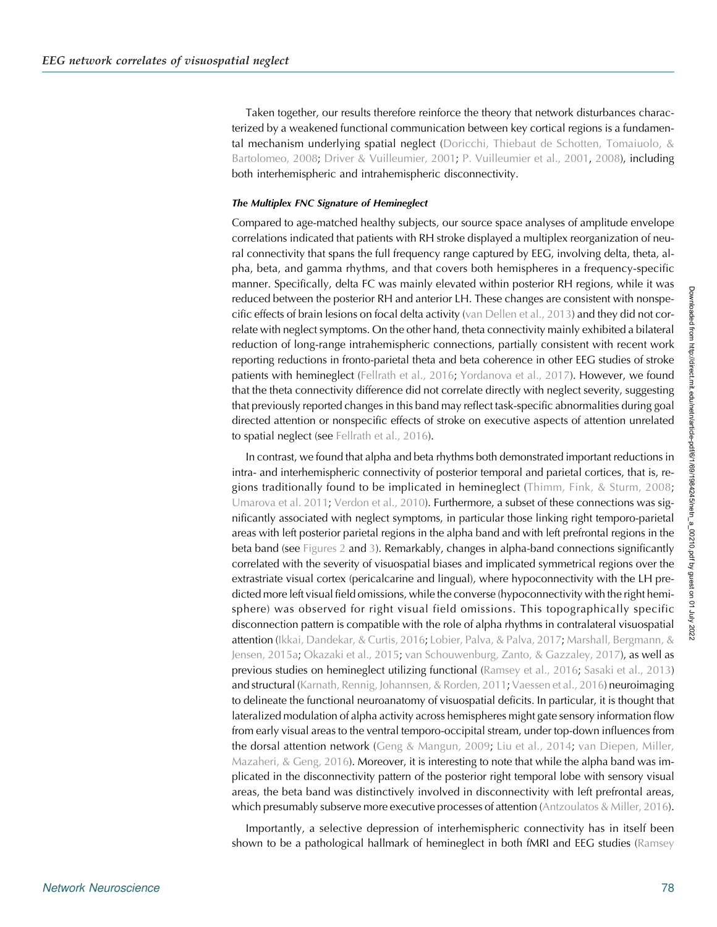Taken together, our results therefore reinforce the theory that network disturbances characterized by a weakened functional communication between key cortical regions is a fundamental mechanism underlying spatial neglect ([Doricchi, Thiebaut de Schotten, Tomaiuolo, &](#page-17-0) [Bartolomeo, 2008](#page-17-0); [Driver & Vuilleumier, 2001](#page-17-0); [P. Vuilleumier et al., 2001](#page-19-0), [2008\)](#page-19-0), including both interhemispheric and intrahemispheric disconnectivity.

#### The Multiplex FNC Signature of Hemineglect

Compared to age-matched healthy subjects, our source space analyses of amplitude envelope correlations indicated that patients with RH stroke displayed a multiplex reorganization of neural connectivity that spans the full frequency range captured by EEG, involving delta, theta, alpha, beta, and gamma rhythms, and that covers both hemispheres in a frequency-specific manner. Specifically, delta FC was mainly elevated within posterior RH regions, while it was reduced between the posterior RH and anterior LH. These changes are consistent with nonspecific effects of brain lesions on focal delta activity ([van Dellen et al., 2013](#page-19-0)) and they did not correlate with neglect symptoms. On the other hand, theta connectivity mainly exhibited a bilateral reduction of long-range intrahemispheric connections, partially consistent with recent work reporting reductions in fronto-parietal theta and beta coherence in other EEG studies of stroke patients with hemineglect [\(Fellrath et al., 2016;](#page-17-0) [Yordanova et al., 2017\)](#page-20-0). However, we found that the theta connectivity difference did not correlate directly with neglect severity, suggesting that previously reported changes in this band may reflect task-specific abnormalities during goal directed attention or nonspecific effects of stroke on executive aspects of attention unrelated to spatial neglect (see [Fellrath et al., 2016\)](#page-17-0).

In contrast, we found that alpha and beta rhythms both demonstrated important reductions in intra- and interhemispheric connectivity of posterior temporal and parietal cortices, that is, regions traditionally found to be implicated in hemineglect [\(Thimm, Fink, & Sturm, 2008](#page-19-0); [Umarova et al. 2011;](#page-19-0) [Verdon et al., 2010\)](#page-19-0). Furthermore, a subset of these connections was significantly associated with neglect symptoms, in particular those linking right temporo-parietal areas with left posterior parietal regions in the alpha band and with left prefrontal regions in the beta band (see [Figures 2](#page-4-0) and [3\)](#page-5-0). Remarkably, changes in alpha-band connections significantly correlated with the severity of visuospatial biases and implicated symmetrical regions over the extrastriate visual cortex (pericalcarine and lingual), where hypoconnectivity with the LH predicted more left visual field omissions, while the converse (hypoconnectivity with the right hemisphere) was observed for right visual field omissions. This topographically specific disconnection pattern is compatible with the role of alpha rhythms in contralateral visuospatial attention ([Ikkai, Dandekar, & Curtis, 2016](#page-17-0); [Lobier, Palva, & Palva, 2017;](#page-18-0) [Marshall, Bergmann, &](#page-18-0) [Jensen, 2015a;](#page-18-0) [Okazaki et al., 2015](#page-18-0); [van Schouwenburg, Zanto, & Gazzaley, 2017](#page-19-0)), as well as previous studies on hemineglect utilizing functional [\(Ramsey et al., 2016;](#page-18-0) [Sasaki et al., 2013](#page-19-0)) and structural [\(Karnath, Rennig, Johannsen, & Rorden, 2011](#page-18-0); [Vaessen et al., 2016\)](#page-19-0) neuroimaging to delineate the functional neuroanatomy of visuospatial deficits. In particular, it is thought that lateralized modulation of alpha activity across hemispheres might gate sensory information flow from early visual areas to the ventral temporo-occipital stream, under top-down influences from the dorsal attention network ([Geng & Mangun, 2009;](#page-17-0) [Liu et al., 2014](#page-18-0); [van Diepen, Miller,](#page-19-0) Mazaheri,  $\&$  Geng, 2016). Moreover, it is interesting to note that while the alpha band was implicated in the disconnectivity pattern of the posterior right temporal lobe with sensory visual areas, the beta band was distinctively involved in disconnectivity with left prefrontal areas, which presumably subserve more executive processes of attention [\(Antzoulatos & Miller, 2016\)](#page-16-0).

Importantly, a selective depression of interhemispheric connectivity has in itself been shown to be a pathological hallmark of hemineglect in both fMRI and EEG studies ([Ramsey](#page-18-0)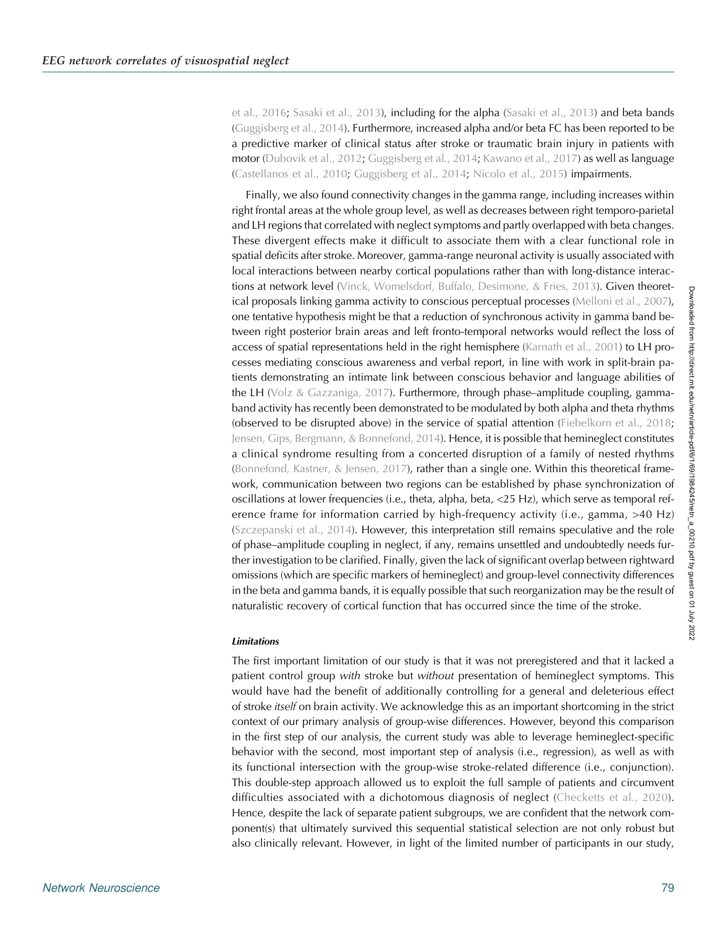[et al., 2016;](#page-18-0) [Sasaki et al., 2013\)](#page-19-0), including for the alpha ([Sasaki et al., 2013\)](#page-19-0) and beta bands ([Guggisberg et al., 2014\)](#page-17-0). Furthermore, increased alpha and/or beta FC has been reported to be a predictive marker of clinical status after stroke or traumatic brain injury in patients with motor ([Dubovik et al., 2012](#page-17-0); [Guggisberg et al., 2014;](#page-17-0) [Kawano et al., 2017](#page-18-0)) as well as language ([Castellanos et al., 2010;](#page-16-0) [Guggisberg et al., 2014](#page-17-0); [Nicolo et al., 2015\)](#page-18-0) impairments.

Finally, we also found connectivity changes in the gamma range, including increases within right frontal areas at the whole group level, as well as decreases between right temporo-parietal and LH regions that correlated with neglect symptoms and partly overlapped with beta changes. These divergent effects make it difficult to associate them with a clear functional role in spatial deficits after stroke. Moreover, gamma-range neuronal activity is usually associated with local interactions between nearby cortical populations rather than with long-distance interac-tions at network level [\(Vinck, Womelsdorf, Buffalo, Desimone, & Fries, 2013\)](#page-19-0). Given theoretical proposals linking gamma activity to conscious perceptual processes ([Melloni et al., 2007\)](#page-18-0), one tentative hypothesis might be that a reduction of synchronous activity in gamma band between right posterior brain areas and left fronto-temporal networks would reflect the loss of access of spatial representations held in the right hemisphere ([Karnath et al., 2001\)](#page-18-0) to LH processes mediating conscious awareness and verbal report, in line with work in split-brain patients demonstrating an intimate link between conscious behavior and language abilities of the LH [\(Volz & Gazzaniga, 2017\)](#page-19-0). Furthermore, through phase–amplitude coupling, gammaband activity has recently been demonstrated to be modulated by both alpha and theta rhythms (observed to be disrupted above) in the service of spatial attention [\(Fiebelkorn et al., 2018](#page-17-0); [Jensen, Gips, Bergmann, & Bonnefond, 2014](#page-18-0)). Hence, it is possible that hemineglect constitutes a clinical syndrome resulting from a concerted disruption of a family of nested rhythms (Bonnefond, Kastner,  $&$  Jensen, 2017), rather than a single one. Within this theoretical framework, communication between two regions can be established by phase synchronization of oscillations at lower frequencies (i.e., theta, alpha, beta, <25 Hz), which serve as temporal reference frame for information carried by high-frequency activity (i.e., gamma, >40 Hz) ([Szczepanski et al., 2014](#page-19-0)). However, this interpretation still remains speculative and the role of phase–amplitude coupling in neglect, if any, remains unsettled and undoubtedly needs further investigation to be clarified. Finally, given the lack of significant overlap between rightward omissions (which are specific markers of hemineglect) and group-level connectivity differences in the beta and gamma bands, it is equally possible that such reorganization may be the result of naturalistic recovery of cortical function that has occurred since the time of the stroke.

#### **Limitations**

The first important limitation of our study is that it was not preregistered and that it lacked a patient control group with stroke but without presentation of hemineglect symptoms. This would have had the benefit of additionally controlling for a general and deleterious effect of stroke *itself* on brain activity. We acknowledge this as an important shortcoming in the strict context of our primary analysis of group-wise differences. However, beyond this comparison in the first step of our analysis, the current study was able to leverage hemineglect-specific behavior with the second, most important step of analysis (i.e., regression), as well as with its functional intersection with the group-wise stroke-related difference (i.e., conjunction). This double-step approach allowed us to exploit the full sample of patients and circumvent difficulties associated with a dichotomous diagnosis of neglect ([Checketts et al., 2020\)](#page-16-0). Hence, despite the lack of separate patient subgroups, we are confident that the network component(s) that ultimately survived this sequential statistical selection are not only robust but also clinically relevant. However, in light of the limited number of participants in our study,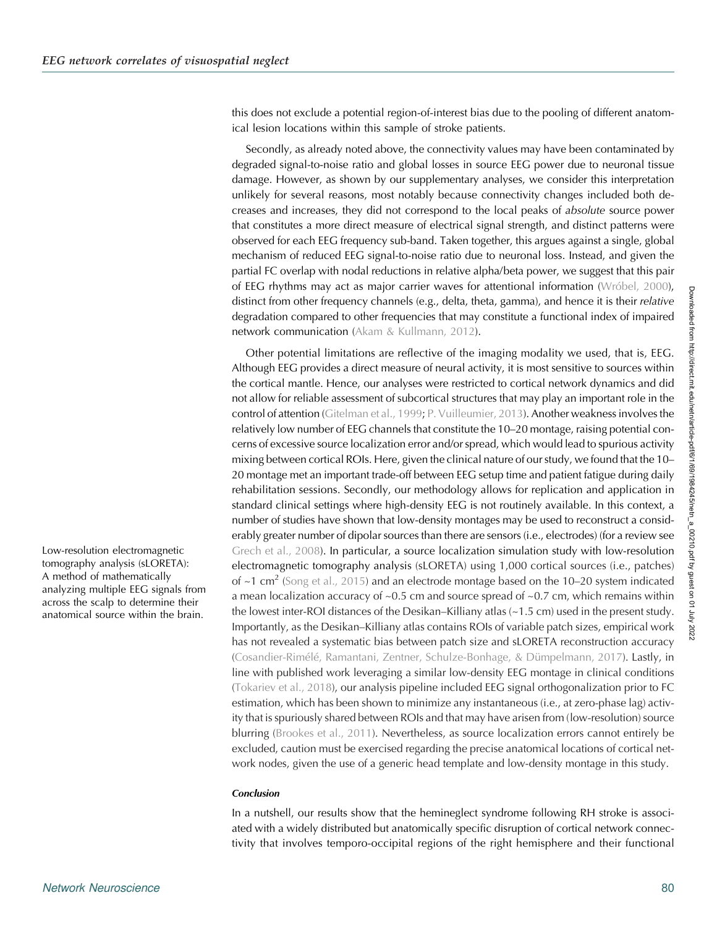this does not exclude a potential region-of-interest bias due to the pooling of different anatomical lesion locations within this sample of stroke patients.

Secondly, as already noted above, the connectivity values may have been contaminated by degraded signal-to-noise ratio and global losses in source EEG power due to neuronal tissue damage. However, as shown by our supplementary analyses, we consider this interpretation unlikely for several reasons, most notably because connectivity changes included both decreases and increases, they did not correspond to the local peaks of absolute source power that constitutes a more direct measure of electrical signal strength, and distinct patterns were observed for each EEG frequency sub-band. Taken together, this argues against a single, global mechanism of reduced EEG signal-to-noise ratio due to neuronal loss. Instead, and given the partial FC overlap with nodal reductions in relative alpha/beta power, we suggest that this pair of EEG rhythms may act as major carrier waves for attentional information [\(Wróbel, 2000\)](#page-20-0), distinct from other frequency channels (e.g., delta, theta, gamma), and hence it is their relative degradation compared to other frequencies that may constitute a functional index of impaired network communication [\(Akam & Kullmann, 2012\)](#page-16-0).

Other potential limitations are reflective of the imaging modality we used, that is, EEG. Although EEG provides a direct measure of neural activity, it is most sensitive to sources within the cortical mantle. Hence, our analyses were restricted to cortical network dynamics and did not allow for reliable assessment of subcortical structures that may play an important role in the control of attention [\(Gitelman et al., 1999;](#page-17-0) [P. Vuilleumier, 2013\)](#page-19-0). Another weakness involves the relatively low number of EEG channels that constitute the 10–20 montage, raising potential concerns of excessive source localization error and/or spread, which would lead to spurious activity mixing between cortical ROIs. Here, given the clinical nature of our study, we found that the 10– 20 montage met an important trade-off between EEG setup time and patient fatigue during daily rehabilitation sessions. Secondly, our methodology allows for replication and application in standard clinical settings where high-density EEG is not routinely available. In this context, a number of studies have shown that low-density montages may be used to reconstruct a considerably greater number of dipolar sources than there are sensors (i.e., electrodes) (for a review see [Grech et al., 2008](#page-17-0)). In particular, a source localization simulation study with low-resolution electromagnetic tomography analysis (sLORETA) using 1,000 cortical sources (i.e., patches) of  $\approx$ 1 cm<sup>2</sup> ([Song et al., 2015](#page-19-0)) and an electrode montage based on the 10–20 system indicated a mean localization accuracy of  $\sim 0.5$  cm and source spread of  $\sim 0.7$  cm, which remains within the lowest inter-ROI distances of the Desikan–Killiany atlas (~1.5 cm) used in the present study. Importantly, as the Desikan–Killiany atlas contains ROIs of variable patch sizes, empirical work has not revealed a systematic bias between patch size and sLORETA reconstruction accuracy ([Cosandier-Rimélé, Ramantani, Zentner, Schulze-Bonhage, & Dümpelmann, 2017\)](#page-16-0). Lastly, in line with published work leveraging a similar low-density EEG montage in clinical conditions ([Tokariev et al., 2018](#page-19-0)), our analysis pipeline included EEG signal orthogonalization prior to FC estimation, which has been shown to minimize any instantaneous (i.e., at zero-phase lag) activity that is spuriously shared between ROIs and that may have arisen from (low-resolution) source blurring ([Brookes et al., 2011\)](#page-16-0). Nevertheless, as source localization errors cannot entirely be excluded, caution must be exercised regarding the precise anatomical locations of cortical network nodes, given the use of a generic head template and low-density montage in this study.

#### **Conclusion**

In a nutshell, our results show that the hemineglect syndrome following RH stroke is associated with a widely distributed but anatomically specific disruption of cortical network connectivity that involves temporo-occipital regions of the right hemisphere and their functional

Low-resolution electromagnetic tomography analysis (sLORETA): A method of mathematically analyzing multiple EEG signals from across the scalp to determine their anatomical source within the brain.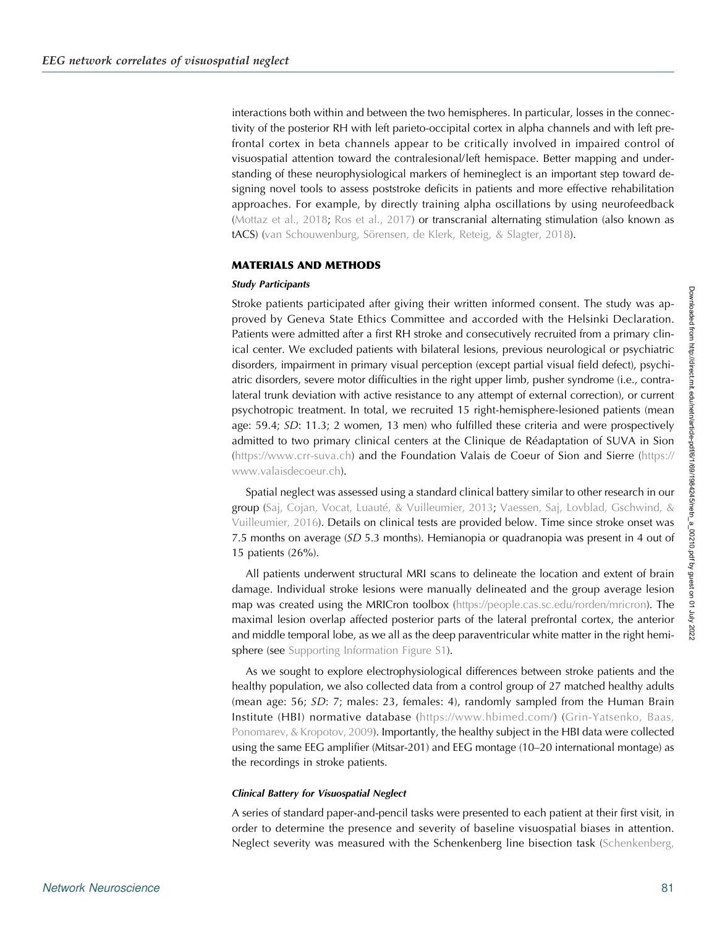interactions both within and between the two hemispheres. In particular, losses in the connectivity of the posterior RH with left parieto-occipital cortex in alpha channels and with left prefrontal cortex in beta channels appear to be critically involved in impaired control of visuospatial attention toward the contralesional/left hemispace. Better mapping and understanding of these neurophysiological markers of hemineglect is an important step toward designing novel tools to assess poststroke deficits in patients and more effective rehabilitation approaches. For example, by directly training alpha oscillations by using neurofeedback ([Mottaz et al., 2018;](#page-18-0) [Ros et al., 2017\)](#page-18-0) or transcranial alternating stimulation (also known as tACS) [\(van Schouwenburg, Sörensen, de Klerk, Reteig, & Slagter, 2018\)](#page-19-0).

#### MATERIALS AND METHODS

### Study Participants

Stroke patients participated after giving their written informed consent. The study was approved by Geneva State Ethics Committee and accorded with the Helsinki Declaration. Patients were admitted after a first RH stroke and consecutively recruited from a primary clinical center. We excluded patients with bilateral lesions, previous neurological or psychiatric disorders, impairment in primary visual perception (except partial visual field defect), psychiatric disorders, severe motor difficulties in the right upper limb, pusher syndrome (i.e., contralateral trunk deviation with active resistance to any attempt of external correction), or current psychotropic treatment. In total, we recruited 15 right-hemisphere-lesioned patients (mean age:  $59.4$ ;  $SD: 11.3$ ; 2 women, 13 men) who fulfilled these criteria and were prospectively admitted to two primary clinical centers at the Clinique de Réadaptation of SUVA in Sion (<https://www.crr-suva.ch>) and the Foundation Valais de Coeur of Sion and Sierre ([https://](https://www.valaisdecoeur.ch) [www.valaisdecoeur.ch\)](https://www.valaisdecoeur.ch).

Spatial neglect was assessed using a standard clinical battery similar to other research in our group [\(Saj, Cojan, Vocat, Luauté, & Vuilleumier, 2013](#page-19-0); [Vaessen, Saj, Lovblad, Gschwind, &](#page-19-0) [Vuilleumier, 2016\)](#page-19-0). Details on clinical tests are provided below. Time since stroke onset was 7.5 months on average  $(SD 5.3$  months). Hemianopia or quadranopia was present in 4 out of 15 patients (26%).

All patients underwent structural MRI scans to delineate the location and extent of brain damage. Individual stroke lesions were manually delineated and the group average lesion map was created using the MRICron toolbox (<https://people.cas.sc.edu/rorden/mricron>). The maximal lesion overlap affected posterior parts of the lateral prefrontal cortex, the anterior and middle temporal lobe, as we all as the deep paraventricular white matter in the right hemi-sphere (see [Supporting Information Figure S1\)](#page-15-0).

As we sought to explore electrophysiological differences between stroke patients and the healthy population, we also collected data from a control group of 27 matched healthy adults (mean age: 56; SD: 7; males: 23, females: 4), randomly sampled from the Human Brain Institute (HBI) normative database [\(https://www.hbimed.com/](https://www.hbimed.com/)) ([Grin-Yatsenko, Baas,](#page-17-0) [Ponomarev, & Kropotov, 2009\)](#page-17-0). Importantly, the healthy subject in the HBI data were collected using the same EEG amplifier (Mitsar-201) and EEG montage (10–20 international montage) as the recordings in stroke patients.

#### Clinical Battery for Visuospatial Neglect

A series of standard paper-and-pencil tasks were presented to each patient at their first visit, in order to determine the presence and severity of baseline visuospatial biases in attention. Neglect severity was measured with the Schenkenberg line bisection task ([Schenkenberg,](#page-19-0)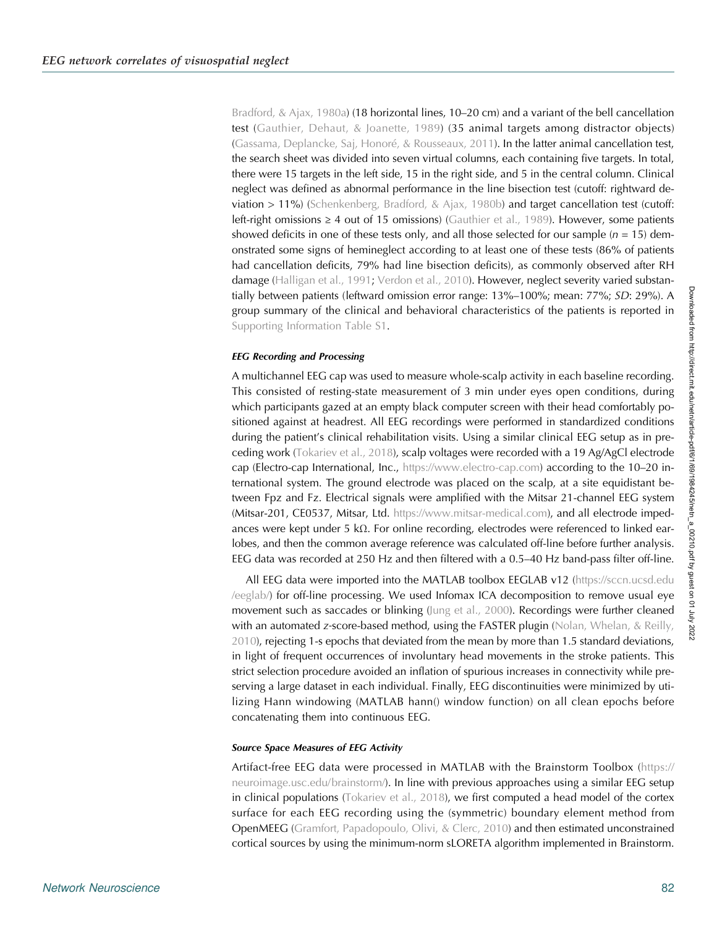[Bradford, & Ajax, 1980a\)](#page-19-0) (18 horizontal lines, 10–20 cm) and a variant of the bell cancellation test ([Gauthier, Dehaut, & Joanette, 1989](#page-17-0)) (35 animal targets among distractor objects) ([Gassama, Deplancke, Saj, Honoré, & Rousseaux, 2011](#page-17-0)). In the latter animal cancellation test, the search sheet was divided into seven virtual columns, each containing five targets. In total, there were 15 targets in the left side, 15 in the right side, and 5 in the central column. Clinical neglect was defined as abnormal performance in the line bisection test (cutoff: rightward deviation  $> 11\%$ ) ([Schenkenberg, Bradford, & Ajax, 1980b\)](#page-19-0) and target cancellation test (cutoff: left-right omissions  $\geq 4$  out of 15 omissions) [\(Gauthier et al., 1989\)](#page-17-0). However, some patients showed deficits in one of these tests only, and all those selected for our sample ( $n = 15$ ) demonstrated some signs of hemineglect according to at least one of these tests (86% of patients had cancellation deficits, 79% had line bisection deficits), as commonly observed after RH damage ([Halligan et al., 1991](#page-17-0); [Verdon et al., 2010](#page-19-0)). However, neglect severity varied substantially between patients (leftward omission error range: 13%–100%; mean: 77%; SD: 29%). A group summary of the clinical and behavioral characteristics of the patients is reported in [Supporting Information Table S1](#page-15-0).

#### EEG Recording and Processing

A multichannel EEG cap was used to measure whole-scalp activity in each baseline recording. This consisted of resting-state measurement of 3 min under eyes open conditions, during which participants gazed at an empty black computer screen with their head comfortably positioned against at headrest. All EEG recordings were performed in standardized conditions during the patient's clinical rehabilitation visits. Using a similar clinical EEG setup as in preceding work ([Tokariev et al., 2018\)](#page-19-0), scalp voltages were recorded with a 19 Ag/AgCl electrode cap (Electro-cap International, Inc., <https://www.electro-cap.com>) according to the 10–20 international system. The ground electrode was placed on the scalp, at a site equidistant between Fpz and Fz. Electrical signals were amplified with the Mitsar 21-channel EEG system (Mitsar-201, CE0537, Mitsar, Ltd. [https://www.mitsar-medical.com\)](https://www.mitsar-medical.com), and all electrode impedances were kept under 5 kΩ. For online recording, electrodes were referenced to linked earlobes, and then the common average reference was calculated off-line before further analysis. EEG data was recorded at 250 Hz and then filtered with a 0.5–40 Hz band-pass filter off-line.

All EEG data were imported into the MATLAB toolbox EEGLAB v12 ([https://sccn.ucsd.edu](https://sccn.ucsd.edu/eeglab/) [/eeglab/](https://sccn.ucsd.edu/eeglab/)) for off-line processing. We used Infomax ICA decomposition to remove usual eye movement such as saccades or blinking [\(Jung et al., 2000](#page-18-0)). Recordings were further cleaned with an automated z-score-based method, using the FASTER plugin (Nolan, Whelan,  $\&$  Reilly, [2010\)](#page-18-0), rejecting 1-s epochs that deviated from the mean by more than 1.5 standard deviations, in light of frequent occurrences of involuntary head movements in the stroke patients. This strict selection procedure avoided an inflation of spurious increases in connectivity while preserving a large dataset in each individual. Finally, EEG discontinuities were minimized by utilizing Hann windowing (MATLAB hann() window function) on all clean epochs before concatenating them into continuous EEG.

#### Source Space Measures of EEG Activity

Artifact-free EEG data were processed in MATLAB with the Brainstorm Toolbox ([https://](https://neuroimage.usc.edu/brainstorm/) [neuroimage.usc.edu/brainstorm/\)](https://neuroimage.usc.edu/brainstorm/). In line with previous approaches using a similar EEG setup in clinical populations ([Tokariev et al., 2018\)](#page-19-0), we first computed a head model of the cortex surface for each EEG recording using the (symmetric) boundary element method from OpenMEEG [\(Gramfort, Papadopoulo, Olivi, & Clerc, 2010](#page-17-0)) and then estimated unconstrained cortical sources by using the minimum-norm sLORETA algorithm implemented in Brainstorm.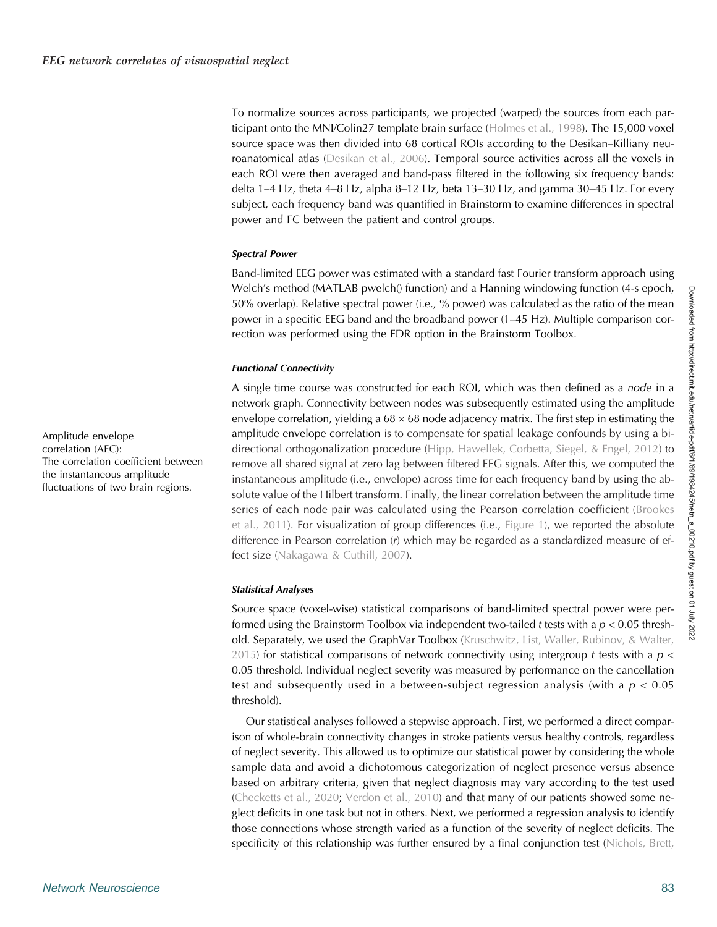To normalize sources across participants, we projected (warped) the sources from each participant onto the MNI/Colin27 template brain surface [\(Holmes et al., 1998](#page-17-0)). The 15,000 voxel source space was then divided into 68 cortical ROIs according to the Desikan–Killiany neuroanatomical atlas ([Desikan et al., 2006](#page-17-0)). Temporal source activities across all the voxels in each ROI were then averaged and band-pass filtered in the following six frequency bands: delta 1–4 Hz, theta 4–8 Hz, alpha 8–12 Hz, beta 13–30 Hz, and gamma 30–45 Hz. For every subject, each frequency band was quantified in Brainstorm to examine differences in spectral power and FC between the patient and control groups.

#### Spectral Power

Band-limited EEG power was estimated with a standard fast Fourier transform approach using Welch's method (MATLAB pwelch() function) and a Hanning windowing function (4-s epoch, 50% overlap). Relative spectral power (i.e., % power) was calculated as the ratio of the mean power in a specific EEG band and the broadband power (1–45 Hz). Multiple comparison correction was performed using the FDR option in the Brainstorm Toolbox.

#### Functional Connectivity

A single time course was constructed for each ROI, which was then defined as a node in a network graph. Connectivity between nodes was subsequently estimated using the amplitude envelope correlation, yielding a  $68 \times 68$  node adjacency matrix. The first step in estimating the amplitude envelope correlation is to compensate for spatial leakage confounds by using a bi-directional orthogonalization procedure [\(Hipp, Hawellek, Corbetta, Siegel, & Engel, 2012\)](#page-17-0) to remove all shared signal at zero lag between filtered EEG signals. After this, we computed the instantaneous amplitude (i.e., envelope) across time for each frequency band by using the absolute value of the Hilbert transform. Finally, the linear correlation between the amplitude time series of each node pair was calculated using the Pearson correlation coefficient [\(Brookes](#page-16-0) [et al., 2011](#page-16-0)). For visualization of group differences (i.e., [Figure 1\)](#page-3-0), we reported the absolute difference in Pearson correlation (r) which may be regarded as a standardized measure of ef-fect size [\(Nakagawa & Cuthill, 2007\)](#page-18-0).

#### Statistical Analyses

Source space (voxel-wise) statistical comparisons of band-limited spectral power were performed using the Brainstorm Toolbox via independent two-tailed t tests with a  $p < 0.05$  thresh-old. Separately, we used the GraphVar Toolbox [\(Kruschwitz, List, Waller, Rubinov, & Walter,](#page-18-0) [2015\)](#page-18-0) for statistical comparisons of network connectivity using intergroup t tests with a  $p \lt$ 0.05 threshold. Individual neglect severity was measured by performance on the cancellation test and subsequently used in a between-subject regression analysis (with a  $p < 0.05$ ) threshold).

Our statistical analyses followed a stepwise approach. First, we performed a direct comparison of whole-brain connectivity changes in stroke patients versus healthy controls, regardless of neglect severity. This allowed us to optimize our statistical power by considering the whole sample data and avoid a dichotomous categorization of neglect presence versus absence based on arbitrary criteria, given that neglect diagnosis may vary according to the test used ([Checketts et al., 2020;](#page-16-0) [Verdon et al., 2010\)](#page-19-0) and that many of our patients showed some neglect deficits in one task but not in others. Next, we performed a regression analysis to identify those connections whose strength varied as a function of the severity of neglect deficits. The specificity of this relationship was further ensured by a final conjunction test ([Nichols, Brett,](#page-18-0)

Amplitude envelope correlation (AEC): The correlation coefficient between the instantaneous amplitude fluctuations of two brain regions.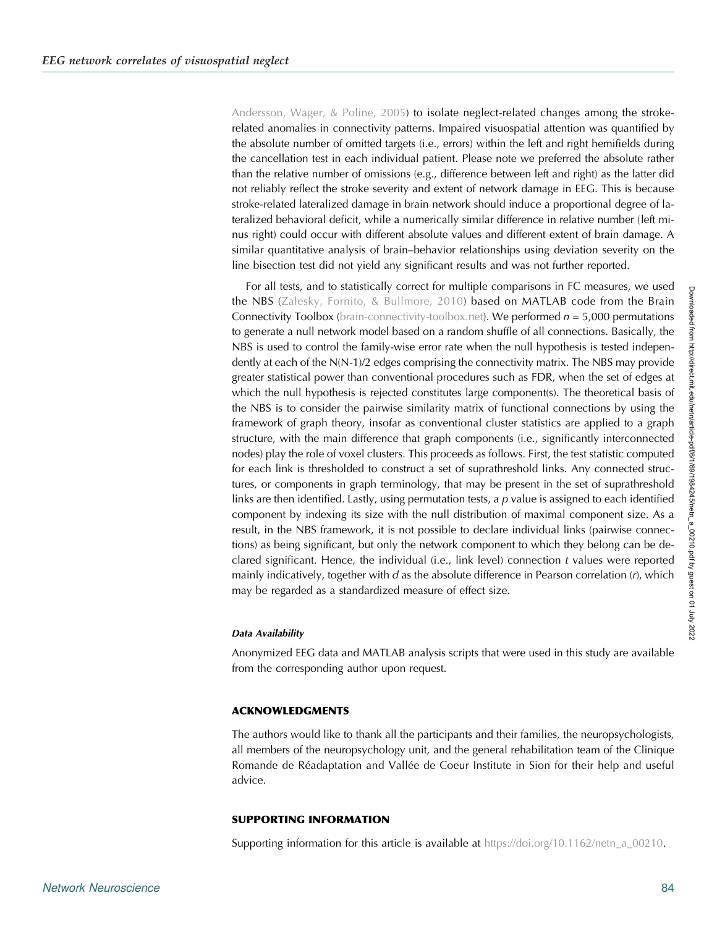<span id="page-15-0"></span>[Andersson, Wager, & Poline, 2005\)](#page-18-0) to isolate neglect-related changes among the strokerelated anomalies in connectivity patterns. Impaired visuospatial attention was quantified by the absolute number of omitted targets (i.e., errors) within the left and right hemifields during the cancellation test in each individual patient. Please note we preferred the absolute rather than the relative number of omissions (e.g., difference between left and right) as the latter did not reliably reflect the stroke severity and extent of network damage in EEG. This is because stroke-related lateralized damage in brain network should induce a proportional degree of lateralized behavioral deficit, while a numerically similar difference in relative number (left minus right) could occur with different absolute values and different extent of brain damage. A similar quantitative analysis of brain–behavior relationships using deviation severity on the line bisection test did not yield any significant results and was not further reported.

For all tests, and to statistically correct for multiple comparisons in FC measures, we used the NBS [\(Zalesky, Fornito, & Bullmore, 2010\)](#page-20-0) based on MATLAB code from the Brain Connectivity Toolbox [\(brain-connectivity-toolbox.net\)](http://www.brain-connectivity-toolbox.net/). We performed  $n = 5,000$  permutations to generate a null network model based on a random shuffle of all connections. Basically, the NBS is used to control the family-wise error rate when the null hypothesis is tested independently at each of the N(N-1)/2 edges comprising the connectivity matrix. The NBS may provide greater statistical power than conventional procedures such as FDR, when the set of edges at which the null hypothesis is rejected constitutes large component(s). The theoretical basis of the NBS is to consider the pairwise similarity matrix of functional connections by using the framework of graph theory, insofar as conventional cluster statistics are applied to a graph structure, with the main difference that graph components (i.e., significantly interconnected nodes) play the role of voxel clusters. This proceeds as follows. First, the test statistic computed for each link is thresholded to construct a set of suprathreshold links. Any connected structures, or components in graph terminology, that may be present in the set of suprathreshold links are then identified. Lastly, using permutation tests, a  $p$  value is assigned to each identified component by indexing its size with the null distribution of maximal component size. As a result, in the NBS framework, it is not possible to declare individual links (pairwise connections) as being significant, but only the network component to which they belong can be declared significant. Hence, the individual (i.e., link level) connection t values were reported mainly indicatively, together with  $d$  as the absolute difference in Pearson correlation  $(r)$ , which may be regarded as a standardized measure of effect size.

# Data Availability

Anonymized EEG data and MATLAB analysis scripts that were used in this study are available from the corresponding author upon request.

# ACKNOWLEDGMENTS

The authors would like to thank all the participants and their families, the neuropsychologists, all members of the neuropsychology unit, and the general rehabilitation team of the Clinique Romande de Réadaptation and Vallée de Coeur Institute in Sion for their help and useful advice.

#### SUPPORTING INFORMATION

Supporting information for this article is available at [https://doi.org/10.1162/netn\\_a\\_00210](https://doi.org/10.1162/netn_a_00210).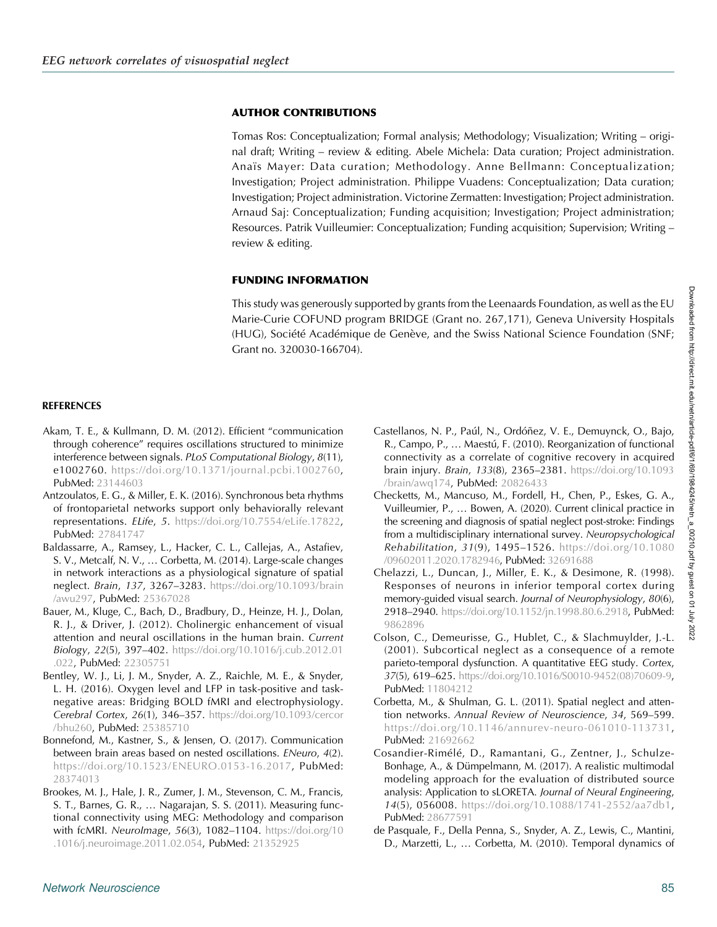# <span id="page-16-0"></span>AUTHOR CONTRIBUTIONS

Tomas Ros: Conceptualization; Formal analysis; Methodology; Visualization; Writing – original draft; Writing – review & editing. Abele Michela: Data curation; Project administration. Anaïs Mayer: Data curation; Methodology. Anne Bellmann: Conceptualization; Investigation; Project administration. Philippe Vuadens: Conceptualization; Data curation; Investigation; Project administration. Victorine Zermatten: Investigation; Project administration. Arnaud Saj: Conceptualization; Funding acquisition; Investigation; Project administration; Resources. Patrik Vuilleumier: Conceptualization; Funding acquisition; Supervision; Writing – review & editing.

# FUNDING INFORMATION

This study was generously supported by grants from the Leenaards Foundation, as well as the EU Marie-Curie COFUND program BRIDGE (Grant no. 267,171), Geneva University Hospitals (HUG), Société Académique de Genève, and the Swiss National Science Foundation (SNF; Grant no. 320030-166704).

# **REFERENCES**

- Akam, T. E., & Kullmann, D. M. (2012). Efficient "communication through coherence" requires oscillations structured to minimize interference between signals. PLoS Computational Biology, 8(11), e1002760. [https://doi.org/10.1371/journal.pcbi.1002760,](https://doi.org/10.1371/journal.pcbi.1002760) PubMed: [23144603](https://pubmed.ncbi.nlm.nih.gov/23144603)
- Antzoulatos, E. G., & Miller, E. K. (2016). Synchronous beta rhythms of frontoparietal networks support only behaviorally relevant representations. ELife, 5. [https://doi.org/10.7554/eLife.17822,](https://doi.org/10.7554/eLife.17822) PubMed: [27841747](https://pubmed.ncbi.nlm.nih.gov/27841747)
- Baldassarre, A., Ramsey, L., Hacker, C. L., Callejas, A., Astafiev, S. V., Metcalf, N. V., … Corbetta, M. (2014). Large-scale changes in network interactions as a physiological signature of spatial neglect. Brain, 137, 3267–3283. [https://doi.org/10.1093/brain](https://doi.org/10.1093/brain/awu297) [/awu297](https://doi.org/10.1093/brain/awu297), PubMed: [25367028](https://pubmed.ncbi.nlm.nih.gov/25367028)
- Bauer, M., Kluge, C., Bach, D., Bradbury, D., Heinze, H. J., Dolan, R. J., & Driver, J. (2012). Cholinergic enhancement of visual attention and neural oscillations in the human brain. Current Biology, 22(5), 397–402. [https://doi.org/10.1016/j.cub.2012.01](https://doi.org/10.1016/j.cub.2012.01.022) [.022,](https://doi.org/10.1016/j.cub.2012.01.022) PubMed: [22305751](https://pubmed.ncbi.nlm.nih.gov/22305751)
- Bentley, W. J., Li, J. M., Snyder, A. Z., Raichle, M. E., & Snyder, L. H. (2016). Oxygen level and LFP in task-positive and tasknegative areas: Bridging BOLD fMRI and electrophysiology. Cerebral Cortex, 26(1), 346–357. [https://doi.org/10.1093/cercor](https://doi.org/10.1093/cercor/bhu260) [/bhu260,](https://doi.org/10.1093/cercor/bhu260) PubMed: [25385710](https://pubmed.ncbi.nlm.nih.gov/25385710)
- Bonnefond, M., Kastner, S., & Jensen, O. (2017). Communication between brain areas based on nested oscillations. ENeuro, 4(2). <https://doi.org/10.1523/ENEURO.0153-16.2017>, PubMed: [28374013](https://pubmed.ncbi.nlm.nih.gov/28374013)
- Brookes, M. J., Hale, J. R., Zumer, J. M., Stevenson, C. M., Francis, S. T., Barnes, G. R., … Nagarajan, S. S. (2011). Measuring functional connectivity using MEG: Methodology and comparison with fcMRI. NeuroImage, 56(3), 1082–1104. [https://doi.org/10](https://doi.org/10.1016/j.neuroimage.2011.02.054) [.1016/j.neuroimage.2011.02.054,](https://doi.org/10.1016/j.neuroimage.2011.02.054) PubMed: [21352925](https://pubmed.ncbi.nlm.nih.gov/21352925)
- Castellanos, N. P., Paúl, N., Ordóñez, V. E., Demuynck, O., Bajo, R., Campo, P., … Maestú, F. (2010). Reorganization of functional connectivity as a correlate of cognitive recovery in acquired brain injury. Brain, 133(8), 2365–2381. [https://doi.org/10.1093](https://doi.org/10.1093/brain/awq174) [/brain/awq174,](https://doi.org/10.1093/brain/awq174) PubMed: [20826433](https://pubmed.ncbi.nlm.nih.gov/20826433)
- Checketts, M., Mancuso, M., Fordell, H., Chen, P., Eskes, G. A., Vuilleumier, P., … Bowen, A. (2020). Current clinical practice in the screening and diagnosis of spatial neglect post-stroke: Findings from a multidisciplinary international survey. Neuropsychological Rehabilitation, 31(9), 1495–1526. [https://doi.org/10.1080](https://doi.org/10.1080/09602011.2020.1782946) [/09602011.2020.1782946](https://doi.org/10.1080/09602011.2020.1782946), PubMed: [32691688](https://pubmed.ncbi.nlm.nih.gov/32691688)
- Chelazzi, L., Duncan, J., Miller, E. K., & Desimone, R. (1998). Responses of neurons in inferior temporal cortex during memory-guided visual search. Journal of Neurophysiology, 80(6), 2918-2940. <https://doi.org/10.1152/jn.1998.80.6.2918>, PubMed: [9862896](https://pubmed.ncbi.nlm.nih.gov/9862896)
- Colson, C., Demeurisse, G., Hublet, C., & Slachmuylder, J.-L. (2001). Subcortical neglect as a consequence of a remote parieto-temporal dysfunction. A quantitative EEG study. Cortex, 37(5), 619–625. [https://doi.org/10.1016/S0010-9452\(08\)70609-9,](https://doi.org/10.1016/S0010-9452(08)70609-9) PubMed: [11804212](https://pubmed.ncbi.nlm.nih.gov/11804212)
- Corbetta, M., & Shulman, G. L. (2011). Spatial neglect and attention networks. Annual Review of Neuroscience, 34, 569–599. [https://doi.org/10.1146/annurev-neuro-061010-113731,](https://doi.org/10.1146/annurev-neuro-061010-113731) PubMed: [21692662](https://pubmed.ncbi.nlm.nih.gov/21692662)
- Cosandier-Rimélé, D., Ramantani, G., Zentner, J., Schulze-Bonhage, A., & Dümpelmann, M. (2017). A realistic multimodal modeling approach for the evaluation of distributed source analysis: Application to sLORETA. Journal of Neural Engineering, 14(5), 056008. [https://doi.org/10.1088/1741-2552/aa7db1,](https://doi.org/10.1088/1741-2552/aa7db1) PubMed: [28677591](https://pubmed.ncbi.nlm.nih.gov/28677591)
- de Pasquale, F., Della Penna, S., Snyder, A. Z., Lewis, C., Mantini, D., Marzetti, L., … Corbetta, M. (2010). Temporal dynamics of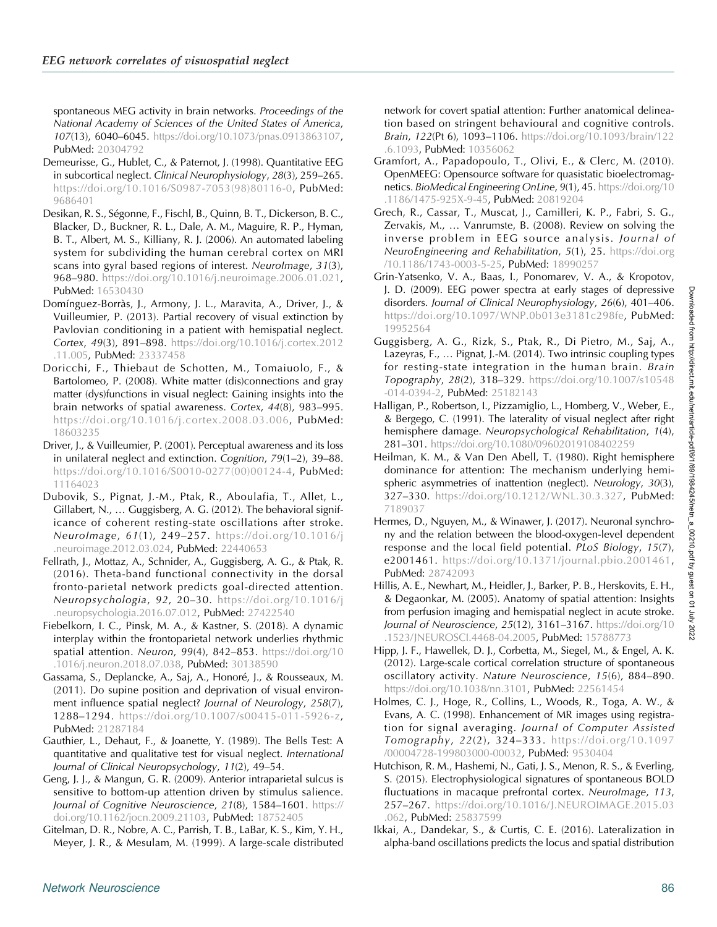<span id="page-17-0"></span>spontaneous MEG activity in brain networks. Proceedings of the National Academy of Sciences of the United States of America, 107(13), 6040–6045. [https://doi.org/10.1073/pnas.0913863107,](https://doi.org/10.1073/pnas.0913863107) PubMed: [20304792](https://pubmed.ncbi.nlm.nih.gov/20304792)

- Demeurisse, G., Hublet, C., & Paternot, J. (1998). Quantitative EEG in subcortical neglect. Clinical Neurophysiology, 28(3), 259–265. [https://doi.org/10.1016/S0987-7053\(98\)80116-0,](https://doi.org/10.1016/S0987-7053(98)80116-0) PubMed: [9686401](https://pubmed.ncbi.nlm.nih.gov/9686401)
- Desikan, R. S., Ségonne, F., Fischl, B., Quinn, B. T., Dickerson, B. C., Blacker, D., Buckner, R. L., Dale, A. M., Maguire, R. P., Hyman, B. T., Albert, M. S., Killiany, R. J. (2006). An automated labeling system for subdividing the human cerebral cortex on MRI scans into gyral based regions of interest. NeuroImage, 31(3), 968–980. [https://doi.org/10.1016/j.neuroimage.2006.01.021,](https://doi.org/10.1016/j.neuroimage.2006.01.021) PubMed: [16530430](https://pubmed.ncbi.nlm.nih.gov/16530430)
- Domínguez-Borràs, J., Armony, J. L., Maravita, A., Driver, J., & Vuilleumier, P. (2013). Partial recovery of visual extinction by Pavlovian conditioning in a patient with hemispatial neglect. Cortex, 49(3), 891–898. [https://doi.org/10.1016/j.cortex.2012](https://doi.org/10.1016/j.cortex.2012.11.005) [.11.005](https://doi.org/10.1016/j.cortex.2012.11.005), PubMed: [23337458](https://pubmed.ncbi.nlm.nih.gov/23337458)
- Doricchi, F., Thiebaut de Schotten, M., Tomaiuolo, F., & Bartolomeo, P. (2008). White matter (dis)connections and gray matter (dys)functions in visual neglect: Gaining insights into the brain networks of spatial awareness. Cortex, 44(8), 983–995. <https://doi.org/10.1016/j.cortex.2008.03.006>, PubMed: [18603235](https://pubmed.ncbi.nlm.nih.gov/18603235)
- Driver, J., & Vuilleumier, P. (2001). Perceptual awareness and its loss in unilateral neglect and extinction. Cognition, 79(1–2), 39–88. [https://doi.org/10.1016/S0010-0277\(00\)00124-4,](https://doi.org/10.1016/S0010-0277(00)00124-4) PubMed: [11164023](https://pubmed.ncbi.nlm.nih.gov/11164023)
- Dubovik, S., Pignat, J.-M., Ptak, R., Aboulafia, T., Allet, L., Gillabert, N., … Guggisberg, A. G. (2012). The behavioral significance of coherent resting-state oscillations after stroke. NeuroImage, 61(1), 249–257. [https://doi.org/10.1016/j](https://doi.org/10.1016/j.neuroimage.2012.03.024) [.neuroimage.2012.03.024,](https://doi.org/10.1016/j.neuroimage.2012.03.024) PubMed: [22440653](https://pubmed.ncbi.nlm.nih.gov/22440653)
- Fellrath, J., Mottaz, A., Schnider, A., Guggisberg, A. G., & Ptak, R. (2016). Theta-band functional connectivity in the dorsal fronto-parietal network predicts goal-directed attention. Neuropsychologia, 92, 20–30. [https://doi.org/10.1016/j](https://doi.org/10.1016/j.neuropsychologia.2016.07.012) [.neuropsychologia.2016.07.012,](https://doi.org/10.1016/j.neuropsychologia.2016.07.012) PubMed: [27422540](https://pubmed.ncbi.nlm.nih.gov/27422540)
- Fiebelkorn, I. C., Pinsk, M. A., & Kastner, S. (2018). A dynamic interplay within the frontoparietal network underlies rhythmic spatial attention. Neuron, 99(4), 842-853. [https://doi.org/10](https://doi.org/10.1016/j.neuron.2018.07.038) [.1016/j.neuron.2018.07.038,](https://doi.org/10.1016/j.neuron.2018.07.038) PubMed: [30138590](https://pubmed.ncbi.nlm.nih.gov/30138590)
- Gassama, S., Deplancke, A., Saj, A., Honoré, J., & Rousseaux, M. (2011). Do supine position and deprivation of visual environment influence spatial neglect? Journal of Neurology, 258(7), 1288–1294. [https://doi.org/10.1007/s00415-011-5926-z,](https://doi.org/10.1007/s00415-011-5926-z) PubMed: [21287184](https://pubmed.ncbi.nlm.nih.gov/21287184)
- Gauthier, L., Dehaut, F., & Joanette, Y. (1989). The Bells Test: A quantitative and qualitative test for visual neglect. International Journal of Clinical Neuropsychology, 11(2), 49–54.
- Geng, J. J., & Mangun, G. R. (2009). Anterior intraparietal sulcus is sensitive to bottom-up attention driven by stimulus salience. Journal of Cognitive Neuroscience, 21(8), 1584–1601. [https://](https://doi.org/10.1162/jocn.2009.21103) [doi.org/10.1162/jocn.2009.21103](https://doi.org/10.1162/jocn.2009.21103), PubMed: [18752405](https://pubmed.ncbi.nlm.nih.gov/18752405)
- Gitelman, D. R., Nobre, A. C., Parrish, T. B., LaBar, K. S., Kim, Y. H., Meyer, J. R., & Mesulam, M. (1999). A large-scale distributed
- Gramfort, A., Papadopoulo, T., Olivi, E., & Clerc, M. (2010). OpenMEEG: Opensource software for quasistatic bioelectromagnetics. BioMedical Engineering OnLine, 9(1), 45. [https://doi.org/10](https://doi.org/10.1186/1475-925X-9-45) [.1186/1475-925X-9-45,](https://doi.org/10.1186/1475-925X-9-45) PubMed: [20819204](https://pubmed.ncbi.nlm.nih.gov/20819204)
- Grech, R., Cassar, T., Muscat, J., Camilleri, K. P., Fabri, S. G., Zervakis, M., … Vanrumste, B. (2008). Review on solving the inverse problem in EEG source analysis. Journal of NeuroEngineering and Rehabilitation, 5(1), 25. [https://doi.org](https://doi.org/10.1186/1743-0003-5-25) [/10.1186/1743-0003-5-25,](https://doi.org/10.1186/1743-0003-5-25) PubMed: [18990257](https://pubmed.ncbi.nlm.nih.gov/18990257)
- Grin-Yatsenko, V. A., Baas, I., Ponomarev, V. A., & Kropotov, J. D. (2009). EEG power spectra at early stages of depressive disorders. Journal of Clinical Neurophysiology, 26(6), 401–406. <https://doi.org/10.1097/WNP.0b013e3181c298fe>, PubMed: [19952564](https://pubmed.ncbi.nlm.nih.gov/19952564)
- Guggisberg, A. G., Rizk, S., Ptak, R., Di Pietro, M., Saj, A., Lazeyras, F., … Pignat, J.-M. (2014). Two intrinsic coupling types for resting-state integration in the human brain. Brain Topography, 28(2), 318–329. [https://doi.org/10.1007/s10548](https://doi.org/10.1007/s10548-014-0394-2) [-014-0394-2,](https://doi.org/10.1007/s10548-014-0394-2) PubMed: [25182143](https://pubmed.ncbi.nlm.nih.gov/25182143)
- Halligan, P., Robertson, I., Pizzamiglio, L., Homberg, V., Weber, E., & Bergego, C. (1991). The laterality of visual neglect after right hemisphere damage. Neuropsychological Rehabilitation, 1(4), 281–301. <https://doi.org/10.1080/09602019108402259>
- Heilman, K. M., & Van Den Abell, T. (1980). Right hemisphere dominance for attention: The mechanism underlying hemispheric asymmetries of inattention (neglect). Neurology, 30(3), 327-330. <https://doi.org/10.1212/WNL.30.3.327>, PubMed: [7189037](https://pubmed.ncbi.nlm.nih.gov/7189037)
- Hermes, D., Nguyen, M., & Winawer, J. (2017). Neuronal synchrony and the relation between the blood-oxygen-level dependent response and the local field potential. PLoS Biology, 15(7), e2001461. [https://doi.org/10.1371/journal.pbio.2001461,](https://doi.org/10.1371/journal.pbio.2001461) PubMed: [28742093](https://pubmed.ncbi.nlm.nih.gov/28742093)
- Hillis, A. E., Newhart, M., Heidler, J., Barker, P. B., Herskovits, E. H., & Degaonkar, M. (2005). Anatomy of spatial attention: Insights from perfusion imaging and hemispatial neglect in acute stroke. Journal of Neuroscience, 25(12), 3161–3167. [https://doi.org/10](https://doi.org/10.1523/JNEUROSCI.4468-04.2005) [.1523/JNEUROSCI.4468-04.2005,](https://doi.org/10.1523/JNEUROSCI.4468-04.2005) PubMed: [15788773](https://pubmed.ncbi.nlm.nih.gov/15788773)
- Hipp, J. F., Hawellek, D. J., Corbetta, M., Siegel, M., & Engel, A. K. (2012). Large-scale cortical correlation structure of spontaneous oscillatory activity. Nature Neuroscience, 15(6), 884–890. <https://doi.org/10.1038/nn.3101>, PubMed: [22561454](https://pubmed.ncbi.nlm.nih.gov/22561454)
- Holmes, C. J., Hoge, R., Collins, L., Woods, R., Toga, A. W., & Evans, A. C. (1998). Enhancement of MR images using registration for signal averaging. Journal of Computer Assisted Tomography, 22(2), 324–333. [https://doi.org/10.1097](https://doi.org/10.1097/00004728-199803000-00032) [/00004728-199803000-00032,](https://doi.org/10.1097/00004728-199803000-00032) PubMed: [9530404](https://pubmed.ncbi.nlm.nih.gov/9530404)
- Hutchison, R. M., Hashemi, N., Gati, J. S., Menon, R. S., & Everling, S. (2015). Electrophysiological signatures of spontaneous BOLD fluctuations in macaque prefrontal cortex. NeuroImage, 113, 257–267. [https://doi.org/10.1016/J.NEUROIMAGE.2015.03](https://doi.org/10.1016/J.NEUROIMAGE.2015.03.062) [.062,](https://doi.org/10.1016/J.NEUROIMAGE.2015.03.062) PubMed: [25837599](https://pubmed.ncbi.nlm.nih.gov/25837599)
- Ikkai, A., Dandekar, S., & Curtis, C. E. (2016). Lateralization in alpha-band oscillations predicts the locus and spatial distribution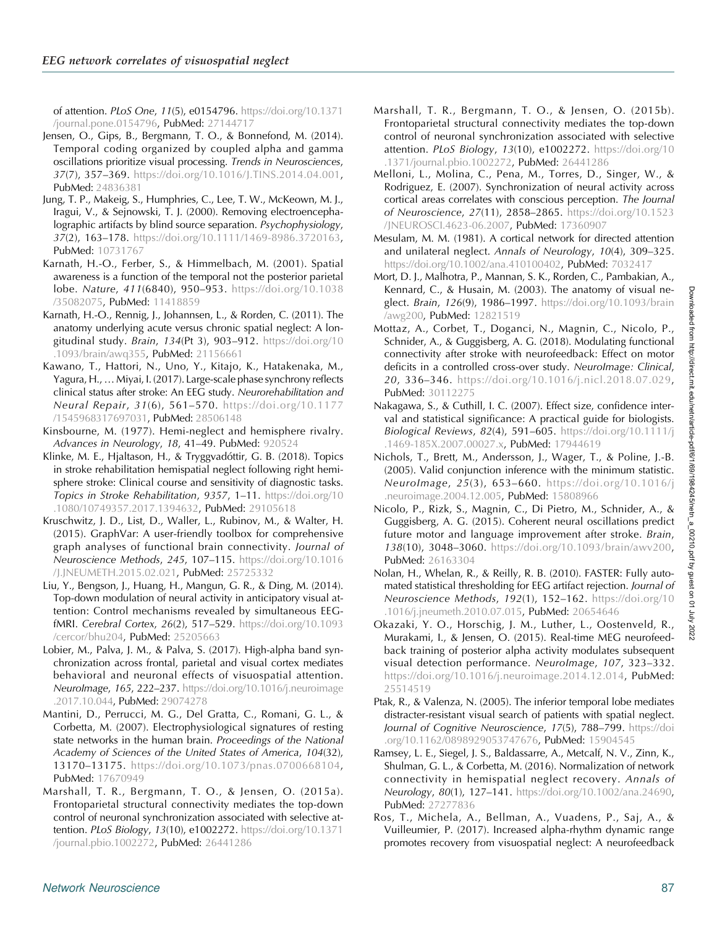<span id="page-18-0"></span>of attention. PLoS One, 11(5), e0154796. [https://doi.org/10.1371](https://doi.org/10.1371/journal.pone.0154796) [/journal.pone.0154796](https://doi.org/10.1371/journal.pone.0154796), PubMed: [27144717](https://pubmed.ncbi.nlm.nih.gov/27144717)

- Jensen, O., Gips, B., Bergmann, T. O., & Bonnefond, M. (2014). Temporal coding organized by coupled alpha and gamma oscillations prioritize visual processing. Trends in Neurosciences, 37(7), 357–369. [https://doi.org/10.1016/J.TINS.2014.04.001,](https://doi.org/10.1016/J.TINS.2014.04.001) PubMed: [24836381](https://pubmed.ncbi.nlm.nih.gov/24836381)
- Jung, T. P., Makeig, S., Humphries, C., Lee, T. W., McKeown, M. J., Iragui, V., & Sejnowski, T. J. (2000). Removing electroencephalographic artifacts by blind source separation. Psychophysiology, 37(2), 163–178. [https://doi.org/10.1111/1469-8986.3720163,](https://doi.org/10.1111/1469-8986.3720163) PubMed: [10731767](https://pubmed.ncbi.nlm.nih.gov/10731767)
- Karnath, H.-O., Ferber, S., & Himmelbach, M. (2001). Spatial awareness is a function of the temporal not the posterior parietal lobe. Nature, 411(6840), 950–953. [https://doi.org/10.1038](https://doi.org/10.1038/35082075) [/35082075,](https://doi.org/10.1038/35082075) PubMed: [11418859](https://pubmed.ncbi.nlm.nih.gov/11418859)
- Karnath, H.-O., Rennig, J., Johannsen, L., & Rorden, C. (2011). The anatomy underlying acute versus chronic spatial neglect: A longitudinal study. Brain, 134(Pt 3), 903–912. [https://doi.org/10](https://doi.org/10.1093/brain/awq355) [.1093/brain/awq355,](https://doi.org/10.1093/brain/awq355) PubMed: [21156661](https://pubmed.ncbi.nlm.nih.gov/21156661)
- Kawano, T., Hattori, N., Uno, Y., Kitajo, K., Hatakenaka, M., Yagura, H.,…Miyai, I. (2017). Large-scale phase synchrony reflects clinical status after stroke: An EEG study. Neurorehabilitation and Neural Repair, 31(6), 561–570. [https://doi.org/10.1177](https://doi.org/10.1177/1545968317697031) [/1545968317697031](https://doi.org/10.1177/1545968317697031), PubMed: [28506148](https://pubmed.ncbi.nlm.nih.gov/28506148)
- Kinsbourne, M. (1977). Hemi-neglect and hemisphere rivalry. Advances in Neurology, 18, 41–49. PubMed: [920524](https://pubmed.ncbi.nlm.nih.gov/920524)
- Klinke, M. E., Hjaltason, H., & Tryggvadóttir, G. B. (2018). Topics in stroke rehabilitation hemispatial neglect following right hemisphere stroke: Clinical course and sensitivity of diagnostic tasks. Topics in Stroke Rehabilitation, 9357, 1–11. [https://doi.org/10](https://doi.org/10.1080/10749357.2017.1394632) [.1080/10749357.2017.1394632,](https://doi.org/10.1080/10749357.2017.1394632) PubMed: [29105618](https://pubmed.ncbi.nlm.nih.gov/29105618)
- Kruschwitz, J. D., List, D., Waller, L., Rubinov, M., & Walter, H. (2015). GraphVar: A user-friendly toolbox for comprehensive graph analyses of functional brain connectivity. Journal of Neuroscience Methods, 245, 107–115. [https://doi.org/10.1016](https://doi.org/10.1016/J.JNEUMETH.2015.02.021) [/J.JNEUMETH.2015.02.021,](https://doi.org/10.1016/J.JNEUMETH.2015.02.021) PubMed: [25725332](https://pubmed.ncbi.nlm.nih.gov/25725332)
- Liu, Y., Bengson, J., Huang, H., Mangun, G. R., & Ding, M. (2014). Top-down modulation of neural activity in anticipatory visual attention: Control mechanisms revealed by simultaneous EEGfMRI. Cerebral Cortex, 26(2), 517–529. [https://doi.org/10.1093](https://doi.org/10.1093/cercor/bhu204) [/cercor/bhu204](https://doi.org/10.1093/cercor/bhu204), PubMed: [25205663](https://pubmed.ncbi.nlm.nih.gov/25205663)
- Lobier, M., Palva, J. M., & Palva, S. (2017). High-alpha band synchronization across frontal, parietal and visual cortex mediates behavioral and neuronal effects of visuospatial attention. Neurolmage, 165, 222-237. [https://doi.org/10.1016/j.neuroimage](https://doi.org/10.1016/j.neuroimage.2017.10.044) [.2017.10.044,](https://doi.org/10.1016/j.neuroimage.2017.10.044) PubMed: [29074278](https://pubmed.ncbi.nlm.nih.gov/29074278)
- Mantini, D., Perrucci, M. G., Del Gratta, C., Romani, G. L., & Corbetta, M. (2007). Electrophysiological signatures of resting state networks in the human brain. Proceedings of the National Academy of Sciences of the United States of America, 104(32), 13170–13175. [https://doi.org/10.1073/pnas.0700668104,](https://doi.org/10.1073/pnas.0700668104) PubMed: [17670949](https://pubmed.ncbi.nlm.nih.gov/17670949)
- Marshall, T. R., Bergmann, T. O., & Jensen, O. (2015a). Frontoparietal structural connectivity mediates the top-down control of neuronal synchronization associated with selective attention. PLoS Biology, 13(10), e1002272. [https://doi.org/10.1371](https://doi.org/10.1371/journal.pbio.1002272) [/journal.pbio.1002272](https://doi.org/10.1371/journal.pbio.1002272), PubMed: [26441286](https://pubmed.ncbi.nlm.nih.gov/26441286)
- Marshall, T. R., Bergmann, T. O., & Jensen, O. (2015b). Frontoparietal structural connectivity mediates the top-down control of neuronal synchronization associated with selective attention. PLoS Biology, 13(10), e1002272. [https://doi.org/10](https://doi.org/10.1371/journal.pbio.1002272) [.1371/journal.pbio.1002272](https://doi.org/10.1371/journal.pbio.1002272), PubMed: [26441286](https://pubmed.ncbi.nlm.nih.gov/26441286)
- Melloni, L., Molina, C., Pena, M., Torres, D., Singer, W., & Rodriguez, E. (2007). Synchronization of neural activity across cortical areas correlates with conscious perception. The Journal of Neuroscience, 27(11), 2858–2865. [https://doi.org/10.1523](https://doi.org/10.1523/JNEUROSCI.4623-06.2007) [/JNEUROSCI.4623-06.2007,](https://doi.org/10.1523/JNEUROSCI.4623-06.2007) PubMed: [17360907](https://pubmed.ncbi.nlm.nih.gov/17360907)
- Mesulam, M. M. (1981). A cortical network for directed attention and unilateral neglect. Annals of Neurology, 10(4), 309–325. <https://doi.org/10.1002/ana.410100402>, PubMed: [7032417](https://pubmed.ncbi.nlm.nih.gov/7032417)
- Mort, D. J., Malhotra, P., Mannan, S. K., Rorden, C., Pambakian, A., Kennard, C., & Husain, M. (2003). The anatomy of visual neglect. Brain, 126(9), 1986–1997. [https://doi.org/10.1093/brain](https://doi.org/10.1093/brain/awg200) [/awg200,](https://doi.org/10.1093/brain/awg200) PubMed: [12821519](https://pubmed.ncbi.nlm.nih.gov/12821519)
- Mottaz, A., Corbet, T., Doganci, N., Magnin, C., Nicolo, P., Schnider, A., & Guggisberg, A. G. (2018). Modulating functional connectivity after stroke with neurofeedback: Effect on motor deficits in a controlled cross-over study. NeuroImage: Clinical, 20, 336–346. [https://doi.org/10.1016/j.nicl.2018.07.029,](https://doi.org/10.1016/j.nicl.2018.07.029) PubMed: [30112275](https://pubmed.ncbi.nlm.nih.gov/30112275)
- Nakagawa, S., & Cuthill, I. C. (2007). Effect size, confidence interval and statistical significance: A practical guide for biologists. Biological Reviews, 82(4), 591–605. [https://doi.org/10.1111/j](https://doi.org/10.1111/j.1469-185X.2007.00027.x) [.1469-185X.2007.00027.x](https://doi.org/10.1111/j.1469-185X.2007.00027.x), PubMed: [17944619](https://pubmed.ncbi.nlm.nih.gov/17944619)
- Nichols, T., Brett, M., Andersson, J., Wager, T., & Poline, J.-B. (2005). Valid conjunction inference with the minimum statistic. NeuroImage, 25(3), 653–660. [https://doi.org/10.1016/j](https://doi.org/10.1016/j.neuroimage.2004.12.005) [.neuroimage.2004.12.005](https://doi.org/10.1016/j.neuroimage.2004.12.005), PubMed: [15808966](https://pubmed.ncbi.nlm.nih.gov/15808966)
- Nicolo, P., Rizk, S., Magnin, C., Di Pietro, M., Schnider, A., & Guggisberg, A. G. (2015). Coherent neural oscillations predict future motor and language improvement after stroke. Brain, 138(10), 3048–3060. [https://doi.org/10.1093/brain/awv200,](https://doi.org/10.1093/brain/awv200) PubMed: [26163304](https://pubmed.ncbi.nlm.nih.gov/26163304)
- Nolan, H., Whelan, R., & Reilly, R. B. (2010). FASTER: Fully automated statistical thresholding for EEG artifact rejection. Journal of Neuroscience Methods, 192(1), 152-162. [https://doi.org/10](https://doi.org/10.1016/j.jneumeth.2010.07.015) [.1016/j.jneumeth.2010.07.015](https://doi.org/10.1016/j.jneumeth.2010.07.015), PubMed: [20654646](https://pubmed.ncbi.nlm.nih.gov/20654646)
- Okazaki, Y. O., Horschig, J. M., Luther, L., Oostenveld, R., Murakami, I., & Jensen, O. (2015). Real-time MEG neurofeedback training of posterior alpha activity modulates subsequent visual detection performance. NeuroImage, 107, 323–332. <https://doi.org/10.1016/j.neuroimage.2014.12.014>, PubMed: [25514519](https://pubmed.ncbi.nlm.nih.gov/25514519)
- Ptak, R., & Valenza, N. (2005). The inferior temporal lobe mediates distracter-resistant visual search of patients with spatial neglect. Journal of Cognitive Neuroscience, 17(5), 788-799. [https://doi](https://doi.org/10.1162/0898929053747676) [.org/10.1162/0898929053747676,](https://doi.org/10.1162/0898929053747676) PubMed: [15904545](https://pubmed.ncbi.nlm.nih.gov/15904545)
- Ramsey, L. E., Siegel, J. S., Baldassarre, A., Metcalf, N. V., Zinn, K., Shulman, G. L., & Corbetta, M. (2016). Normalization of network connectivity in hemispatial neglect recovery. Annals of Neurology, 80(1), 127-141. [https://doi.org/10.1002/ana.24690,](https://doi.org/10.1002/ana.24690) PubMed: [27277836](https://pubmed.ncbi.nlm.nih.gov/27277836)
- Ros, T., Michela, A., Bellman, A., Vuadens, P., Saj, A., & Vuilleumier, P. (2017). Increased alpha-rhythm dynamic range promotes recovery from visuospatial neglect: A neurofeedback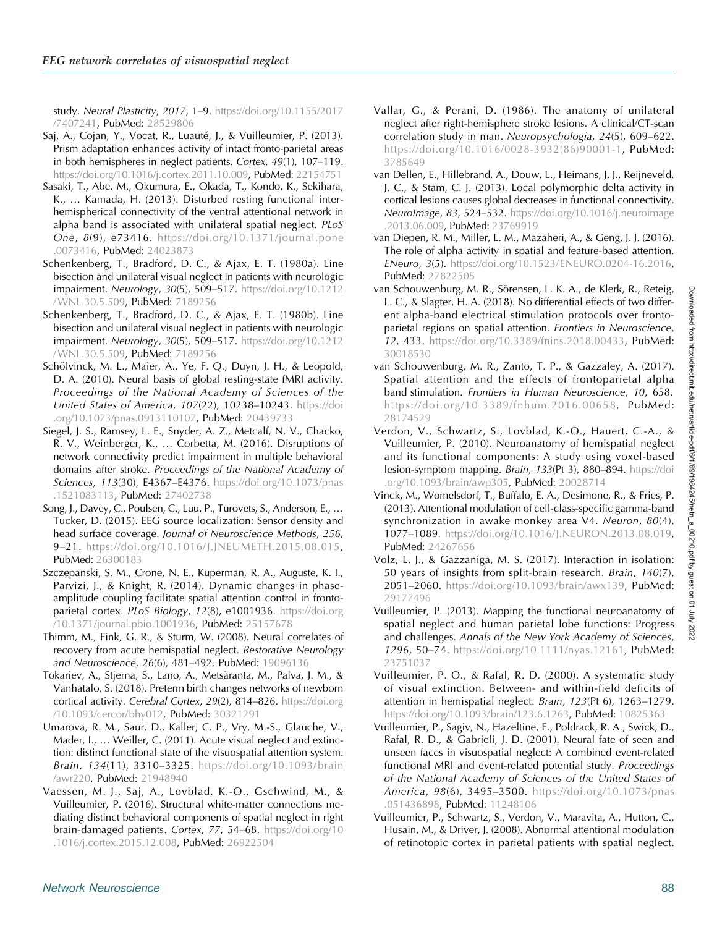<span id="page-19-0"></span>study. Neural Plasticity, 2017, 1–9. [https://doi.org/10.1155/2017](https://doi.org/10.1155/2017/7407241) [/7407241,](https://doi.org/10.1155/2017/7407241) PubMed: [28529806](https://pubmed.ncbi.nlm.nih.gov/28529806)

- Saj, A., Cojan, Y., Vocat, R., Luauté, J., & Vuilleumier, P. (2013). Prism adaptation enhances activity of intact fronto-parietal areas in both hemispheres in neglect patients. Cortex, 49(1), 107–119. [https://doi.org/10.1016/j.cortex.2011.10.009,](https://doi.org/10.1016/j.cortex.2011.10.009) PubMed: [22154751](https://pubmed.ncbi.nlm.nih.gov/22154751)
- Sasaki, T., Abe, M., Okumura, E., Okada, T., Kondo, K., Sekihara, K., … Kamada, H. (2013). Disturbed resting functional interhemispherical connectivity of the ventral attentional network in alpha band is associated with unilateral spatial neglect. PLoS One, 8(9), e73416. [https://doi.org/10.1371/journal.pone](https://doi.org/10.1371/journal.pone.0073416) [.0073416,](https://doi.org/10.1371/journal.pone.0073416) PubMed: [24023873](https://pubmed.ncbi.nlm.nih.gov/24023873)
- Schenkenberg, T., Bradford, D. C., & Ajax, E. T. (1980a). Line bisection and unilateral visual neglect in patients with neurologic impairment. Neurology, 30(5), 509–517. [https://doi.org/10.1212](https://doi.org/10.1212/WNL.30.5.509) [/WNL.30.5.509,](https://doi.org/10.1212/WNL.30.5.509) PubMed: [7189256](https://pubmed.ncbi.nlm.nih.gov/7189256)
- Schenkenberg, T., Bradford, D. C., & Ajax, E. T. (1980b). Line bisection and unilateral visual neglect in patients with neurologic impairment. Neurology, 30(5), 509–517. [https://doi.org/10.1212](https://doi.org/10.1212/WNL.30.5.509) [/WNL.30.5.509,](https://doi.org/10.1212/WNL.30.5.509) PubMed: [7189256](https://pubmed.ncbi.nlm.nih.gov/7189256)
- Schölvinck, M. L., Maier, A., Ye, F. Q., Duyn, J. H., & Leopold, D. A. (2010). Neural basis of global resting-state fMRI activity. Proceedings of the National Academy of Sciences of the United States of America, 107(22), 10238–10243. [https://doi](https://doi.org/10.1073/pnas.0913110107) [.org/10.1073/pnas.0913110107,](https://doi.org/10.1073/pnas.0913110107) PubMed: [20439733](https://pubmed.ncbi.nlm.nih.gov/20439733)
- Siegel, J. S., Ramsey, L. E., Snyder, A. Z., Metcalf, N. V., Chacko, R. V., Weinberger, K., … Corbetta, M. (2016). Disruptions of network connectivity predict impairment in multiple behavioral domains after stroke. Proceedings of the National Academy of Sciences, 113(30), E4367–E4376. [https://doi.org/10.1073/pnas](https://doi.org/10.1073/pnas.1521083113) [.1521083113,](https://doi.org/10.1073/pnas.1521083113) PubMed: [27402738](https://pubmed.ncbi.nlm.nih.gov/27402738)
- Song, J., Davey, C., Poulsen, C., Luu, P., Turovets, S., Anderson, E., … Tucker, D. (2015). EEG source localization: Sensor density and head surface coverage. Journal of Neuroscience Methods, 256, 9–21. [https://doi.org/10.1016/J.JNEUMETH.2015.08.015,](https://doi.org/10.1016/J.JNEUMETH.2015.08.015) PubMed: [26300183](https://pubmed.ncbi.nlm.nih.gov/26300183)
- Szczepanski, S. M., Crone, N. E., Kuperman, R. A., Auguste, K. I., Parvizi, J., & Knight, R. (2014). Dynamic changes in phaseamplitude coupling facilitate spatial attention control in frontoparietal cortex. PLoS Biology, 12(8), e1001936. [https://doi.org](https://doi.org/10.1371/journal.pbio.1001936) [/10.1371/journal.pbio.1001936,](https://doi.org/10.1371/journal.pbio.1001936) PubMed: [25157678](https://pubmed.ncbi.nlm.nih.gov/25157678)
- Thimm, M., Fink, G. R., & Sturm, W. (2008). Neural correlates of recovery from acute hemispatial neglect. Restorative Neurology and Neuroscience, 26(6), 481–492. PubMed: [19096136](https://pubmed.ncbi.nlm.nih.gov/19096136)
- Tokariev, A., Stjerna, S., Lano, A., Metsäranta, M., Palva, J. M., & Vanhatalo, S. (2018). Preterm birth changes networks of newborn cortical activity. Cerebral Cortex, 29(2), 814-826. [https://doi.org](https://doi.org/10.1093/cercor/bhy012) [/10.1093/cercor/bhy012,](https://doi.org/10.1093/cercor/bhy012) PubMed: [30321291](https://pubmed.ncbi.nlm.nih.gov/30321291)
- Umarova, R. M., Saur, D., Kaller, C. P., Vry, M.-S., Glauche, V., Mader, I., … Weiller, C. (2011). Acute visual neglect and extinction: distinct functional state of the visuospatial attention system. Brain, 134(11), 3310–3325. [https://doi.org/10.1093/brain](https://doi.org/10.1093/brain/awr220) [/awr220](https://doi.org/10.1093/brain/awr220), PubMed: [21948940](https://pubmed.ncbi.nlm.nih.gov/21948940)
- Vaessen, M. J., Saj, A., Lovblad, K.-O., Gschwind, M., & Vuilleumier, P. (2016). Structural white-matter connections mediating distinct behavioral components of spatial neglect in right brain-damaged patients. Cortex, 77, 54–68. [https://doi.org/10](https://doi.org/10.1016/j.cortex.2015.12.008) [.1016/j.cortex.2015.12.008](https://doi.org/10.1016/j.cortex.2015.12.008), PubMed: [26922504](https://pubmed.ncbi.nlm.nih.gov/26922504)
- Vallar, G., & Perani, D. (1986). The anatomy of unilateral neglect after right-hemisphere stroke lesions. A clinical/CT-scan correlation study in man. Neuropsychologia, 24(5), 609–622. [https://doi.org/10.1016/0028-3932\(86\)90001-1,](https://doi.org/10.1016/0028-3932(86)90001-1) PubMed: [3785649](https://pubmed.ncbi.nlm.nih.gov/3785649)
- van Dellen, E., Hillebrand, A., Douw, L., Heimans, J. J., Reijneveld, J. C., & Stam, C. J. (2013). Local polymorphic delta activity in cortical lesions causes global decreases in functional connectivity. Neurolmage, 83, 524-532. [https://doi.org/10.1016/j.neuroimage](https://doi.org/10.1016/j.neuroimage.2013.06.009) [.2013.06.009](https://doi.org/10.1016/j.neuroimage.2013.06.009), PubMed: [23769919](https://pubmed.ncbi.nlm.nih.gov/23769919)
- van Diepen, R. M., Miller, L. M., Mazaheri, A., & Geng, J. J. (2016). The role of alpha activity in spatial and feature-based attention. ENeuro, 3(5). [https://doi.org/10.1523/ENEURO.0204-16.2016,](https://doi.org/10.1523/ENEURO.0204-16.2016) PubMed: [27822505](https://pubmed.ncbi.nlm.nih.gov/27822505)
- van Schouwenburg, M. R., Sörensen, L. K. A., de Klerk, R., Reteig, L. C., & Slagter, H. A. (2018). No differential effects of two different alpha-band electrical stimulation protocols over frontoparietal regions on spatial attention. Frontiers in Neuroscience, 12, 433. [https://doi.org/10.3389/fnins.2018.00433,](https://doi.org/10.3389/fnins.2018.00433) PubMed: [30018530](https://pubmed.ncbi.nlm.nih.gov/30018530)
- van Schouwenburg, M. R., Zanto, T. P., & Gazzaley, A. (2017). Spatial attention and the effects of frontoparietal alpha band stimulation. Frontiers in Human Neuroscience, 10, 658. [https://doi.org/10.3389/fnhum.2016.00658,](https://doi.org/10.3389/fnhum.2016.00658) PubMed: [28174529](https://pubmed.ncbi.nlm.nih.gov/28174529)
- Verdon, V., Schwartz, S., Lovblad, K.-O., Hauert, C.-A., & Vuilleumier, P. (2010). Neuroanatomy of hemispatial neglect and its functional components: A study using voxel-based lesion-symptom mapping. Brain, 133(Pt 3), 880–894. [https://doi](https://doi.org/10.1093/brain/awp305) [.org/10.1093/brain/awp305](https://doi.org/10.1093/brain/awp305), PubMed: [20028714](https://pubmed.ncbi.nlm.nih.gov/20028714)
- Vinck, M., Womelsdorf, T., Buffalo, E. A., Desimone, R., & Fries, P. (2013). Attentional modulation of cell-class-specific gamma-band synchronization in awake monkey area V4. Neuron, 80(4), 1077–1089. [https://doi.org/10.1016/J.NEURON.2013.08.019,](https://doi.org/10.1016/J.NEURON.2013.08.019) PubMed: [24267656](https://pubmed.ncbi.nlm.nih.gov/24267656)
- Volz, L. J., & Gazzaniga, M. S. (2017). Interaction in isolation: 50 years of insights from split-brain research. Brain, 140(7), 2051-2060. [https://doi.org/10.1093/brain/awx139,](https://doi.org/10.1093/brain/awx139) PubMed: [29177496](https://pubmed.ncbi.nlm.nih.gov/29177496)
- Vuilleumier, P. (2013). Mapping the functional neuroanatomy of spatial neglect and human parietal lobe functions: Progress and challenges. Annals of the New York Academy of Sciences, 1296, 50–74. <https://doi.org/10.1111/nyas.12161>, PubMed: [23751037](https://pubmed.ncbi.nlm.nih.gov/23751037)
- Vuilleumier, P. O., & Rafal, R. D. (2000). A systematic study of visual extinction. Between- and within-field deficits of attention in hemispatial neglect. Brain, 123(Pt 6), 1263–1279. <https://doi.org/10.1093/brain/123.6.1263>, PubMed: [10825363](https://pubmed.ncbi.nlm.nih.gov/10825363)
- Vuilleumier, P., Sagiv, N., Hazeltine, E., Poldrack, R. A., Swick, D., Rafal, R. D., & Gabrieli, J. D. (2001). Neural fate of seen and unseen faces in visuospatial neglect: A combined event-related functional MRI and event-related potential study. Proceedings of the National Academy of Sciences of the United States of America, 98(6), 3495–3500. [https://doi.org/10.1073/pnas](https://doi.org/10.1073/pnas.051436898) [.051436898](https://doi.org/10.1073/pnas.051436898), PubMed: [11248106](https://pubmed.ncbi.nlm.nih.gov/11248106)
- Vuilleumier, P., Schwartz, S., Verdon, V., Maravita, A., Hutton, C., Husain, M., & Driver, J. (2008). Abnormal attentional modulation of retinotopic cortex in parietal patients with spatial neglect.

Downloaded from http://direct.mit.edu/netn/article-pdf/6/1/69/1984245/netn\_a\_00210.pdf by guest on 01 July 2022 Downloaded from http://direct.mit.edu/netn/article-pdf/6/1/69/1984245/netn\_a\_00210.pdf by guest on 01 July 2022